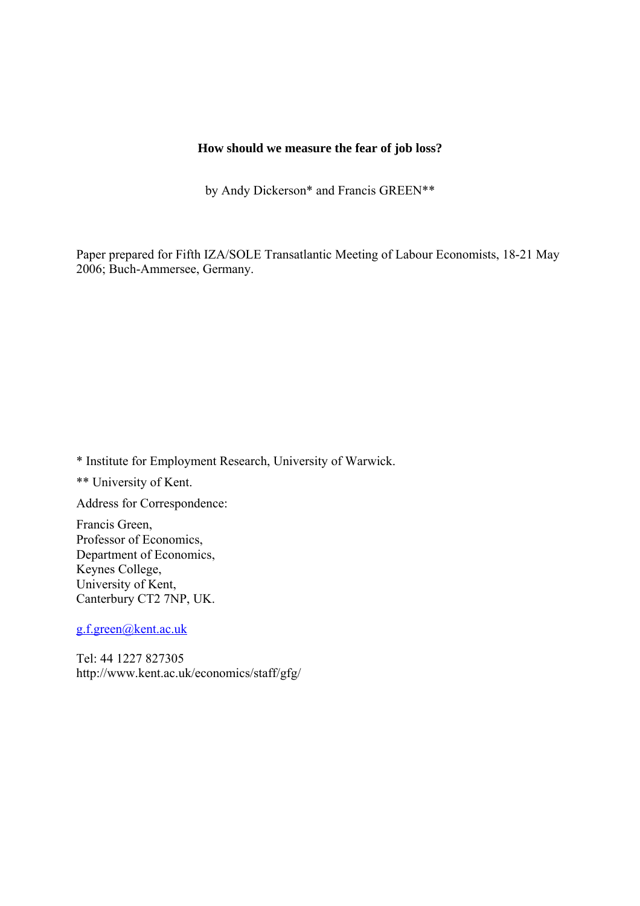## **How should we measure the fear of job loss?**

by Andy Dickerson\* and Francis GREEN\*\*

Paper prepared for Fifth IZA/SOLE Transatlantic Meeting of Labour Economists, 18-21 May 2006; Buch-Ammersee, Germany.

\* Institute for Employment Research, University of Warwick.

\*\* University of Kent.

Address for Correspondence:

Francis Green, Professor of Economics, Department of Economics, Keynes College, University of Kent, Canterbury CT2 7NP, UK.

[g.f.green@kent.ac.uk](mailto:g.f.green@kent.ac.uk)

Tel: 44 1227 827305 http://www.kent.ac.uk/economics/staff/gfg/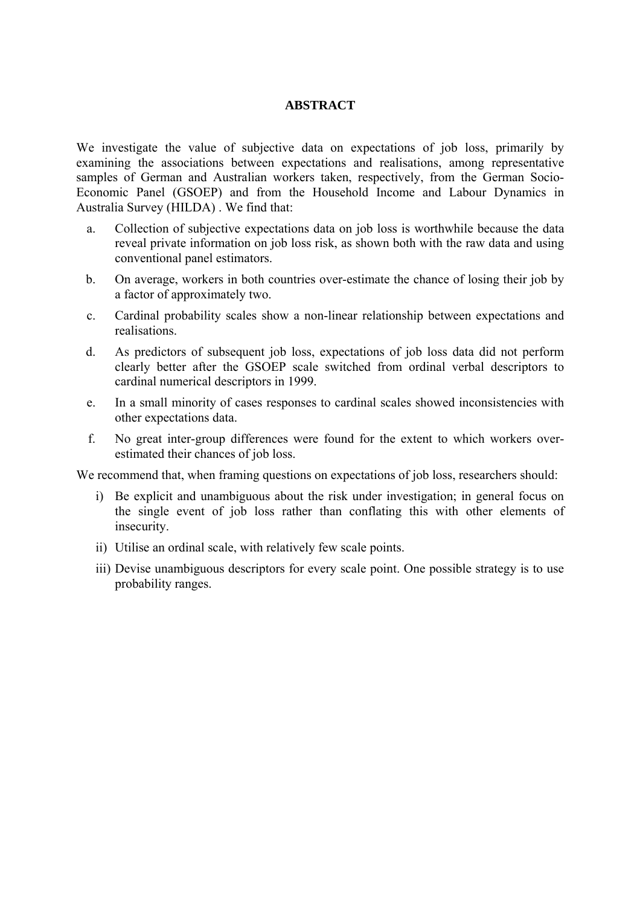### **ABSTRACT**

We investigate the value of subjective data on expectations of job loss, primarily by examining the associations between expectations and realisations, among representative samples of German and Australian workers taken, respectively, from the German Socio-Economic Panel (GSOEP) and from the Household Income and Labour Dynamics in Australia Survey (HILDA) . We find that:

- a. Collection of subjective expectations data on job loss is worthwhile because the data reveal private information on job loss risk, as shown both with the raw data and using conventional panel estimators.
- b. On average, workers in both countries over-estimate the chance of losing their job by a factor of approximately two.
- c. Cardinal probability scales show a non-linear relationship between expectations and realisations.
- d. As predictors of subsequent job loss, expectations of job loss data did not perform clearly better after the GSOEP scale switched from ordinal verbal descriptors to cardinal numerical descriptors in 1999.
- e. In a small minority of cases responses to cardinal scales showed inconsistencies with other expectations data.
- f. No great inter-group differences were found for the extent to which workers overestimated their chances of job loss.

We recommend that, when framing questions on expectations of job loss, researchers should:

- i) Be explicit and unambiguous about the risk under investigation; in general focus on the single event of job loss rather than conflating this with other elements of insecurity.
- ii) Utilise an ordinal scale, with relatively few scale points.
- iii) Devise unambiguous descriptors for every scale point. One possible strategy is to use probability ranges.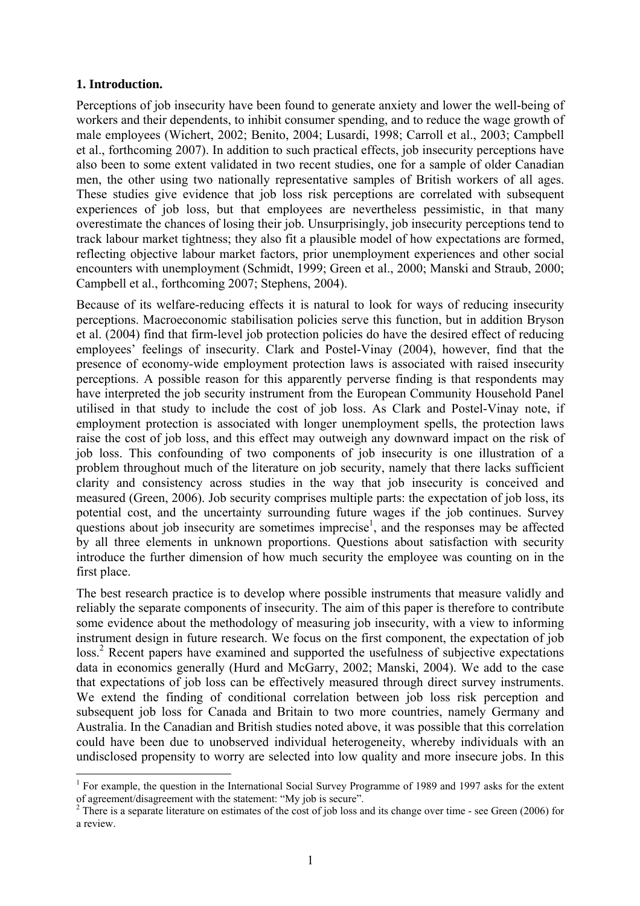## **1. Introduction.**

 $\overline{a}$ 

Perceptions of job insecurity have been found to generate anxiety and lower the well-being of workers and their dependents, to inhibit consumer spending, and to reduce the wage growth of male employees (Wichert, 2002; Benito, 2004; Lusardi, 1998; Carroll et al., 2003; Campbell et al., forthcoming 2007). In addition to such practical effects, job insecurity perceptions have also been to some extent validated in two recent studies, one for a sample of older Canadian men, the other using two nationally representative samples of British workers of all ages. These studies give evidence that job loss risk perceptions are correlated with subsequent experiences of job loss, but that employees are nevertheless pessimistic, in that many overestimate the chances of losing their job. Unsurprisingly, job insecurity perceptions tend to track labour market tightness; they also fit a plausible model of how expectations are formed, reflecting objective labour market factors, prior unemployment experiences and other social encounters with unemployment (Schmidt, 1999; Green et al., 2000; Manski and Straub, 2000; Campbell et al., forthcoming 2007; Stephens, 2004).

Because of its welfare-reducing effects it is natural to look for ways of reducing insecurity perceptions. Macroeconomic stabilisation policies serve this function, but in addition Bryson et al. (2004) find that firm-level job protection policies do have the desired effect of reducing employees' feelings of insecurity. Clark and Postel-Vinay (2004), however, find that the presence of economy-wide employment protection laws is associated with raised insecurity perceptions. A possible reason for this apparently perverse finding is that respondents may have interpreted the job security instrument from the European Community Household Panel utilised in that study to include the cost of job loss. As Clark and Postel-Vinay note, if employment protection is associated with longer unemployment spells, the protection laws raise the cost of job loss, and this effect may outweigh any downward impact on the risk of job loss. This confounding of two components of job insecurity is one illustration of a problem throughout much of the literature on job security, namely that there lacks sufficient clarity and consistency across studies in the way that job insecurity is conceived and measured (Green, 2006). Job security comprises multiple parts: the expectation of job loss, its potential cost, and the uncertainty surrounding future wages if the job continues. Survey questions about job insecurity are sometimes imprecise<sup>[1](#page-2-0)</sup>, and the responses may be affected by all three elements in unknown proportions. Questions about satisfaction with security introduce the further dimension of how much security the employee was counting on in the first place.

The best research practice is to develop where possible instruments that measure validly and reliably the separate components of insecurity. The aim of this paper is therefore to contribute some evidence about the methodology of measuring job insecurity, with a view to informing instrument design in future research. We focus on the first component, the expectation of job loss.<sup>[2](#page-2-1)</sup> Recent papers have examined and supported the usefulness of subjective expectations data in economics generally (Hurd and McGarry, 2002; Manski, 2004). We add to the case that expectations of job loss can be effectively measured through direct survey instruments. We extend the finding of conditional correlation between job loss risk perception and subsequent job loss for Canada and Britain to two more countries, namely Germany and Australia. In the Canadian and British studies noted above, it was possible that this correlation could have been due to unobserved individual heterogeneity, whereby individuals with an undisclosed propensity to worry are selected into low quality and more insecure jobs. In this

<span id="page-2-0"></span><sup>&</sup>lt;sup>1</sup> For example, the question in the International Social Survey Programme of 1989 and 1997 asks for the extent of agreement/disagreement with the statement: "My job is secure". 2

<span id="page-2-1"></span> $2$  There is a separate literature on estimates of the cost of job loss and its change over time - see Green (2006) for a review.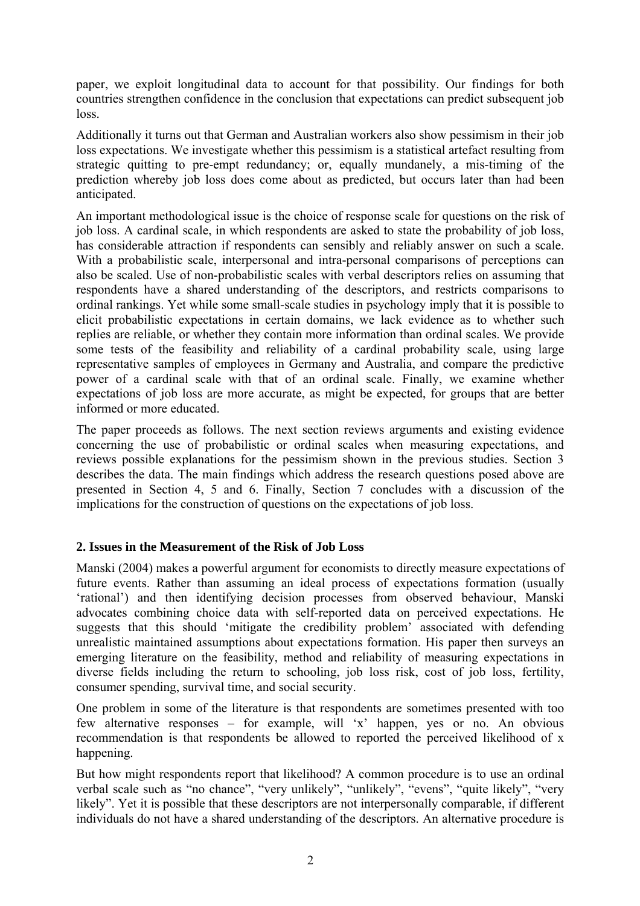paper, we exploit longitudinal data to account for that possibility. Our findings for both countries strengthen confidence in the conclusion that expectations can predict subsequent job loss.

Additionally it turns out that German and Australian workers also show pessimism in their job loss expectations. We investigate whether this pessimism is a statistical artefact resulting from strategic quitting to pre-empt redundancy; or, equally mundanely, a mis-timing of the prediction whereby job loss does come about as predicted, but occurs later than had been anticipated.

An important methodological issue is the choice of response scale for questions on the risk of job loss. A cardinal scale, in which respondents are asked to state the probability of job loss, has considerable attraction if respondents can sensibly and reliably answer on such a scale. With a probabilistic scale, interpersonal and intra-personal comparisons of perceptions can also be scaled. Use of non-probabilistic scales with verbal descriptors relies on assuming that respondents have a shared understanding of the descriptors, and restricts comparisons to ordinal rankings. Yet while some small-scale studies in psychology imply that it is possible to elicit probabilistic expectations in certain domains, we lack evidence as to whether such replies are reliable, or whether they contain more information than ordinal scales. We provide some tests of the feasibility and reliability of a cardinal probability scale, using large representative samples of employees in Germany and Australia, and compare the predictive power of a cardinal scale with that of an ordinal scale. Finally, we examine whether expectations of job loss are more accurate, as might be expected, for groups that are better informed or more educated.

The paper proceeds as follows. The next section reviews arguments and existing evidence concerning the use of probabilistic or ordinal scales when measuring expectations, and reviews possible explanations for the pessimism shown in the previous studies. Section 3 describes the data. The main findings which address the research questions posed above are presented in Section 4, 5 and 6. Finally, Section 7 concludes with a discussion of the implications for the construction of questions on the expectations of job loss.

## **2. Issues in the Measurement of the Risk of Job Loss**

Manski (2004) makes a powerful argument for economists to directly measure expectations of future events. Rather than assuming an ideal process of expectations formation (usually 'rational') and then identifying decision processes from observed behaviour, Manski advocates combining choice data with self-reported data on perceived expectations. He suggests that this should 'mitigate the credibility problem' associated with defending unrealistic maintained assumptions about expectations formation. His paper then surveys an emerging literature on the feasibility, method and reliability of measuring expectations in diverse fields including the return to schooling, job loss risk, cost of job loss, fertility, consumer spending, survival time, and social security.

One problem in some of the literature is that respondents are sometimes presented with too few alternative responses – for example, will 'x' happen, yes or no. An obvious recommendation is that respondents be allowed to reported the perceived likelihood of x happening.

But how might respondents report that likelihood? A common procedure is to use an ordinal verbal scale such as "no chance", "very unlikely", "unlikely", "evens", "quite likely", "very likely". Yet it is possible that these descriptors are not interpersonally comparable, if different individuals do not have a shared understanding of the descriptors. An alternative procedure is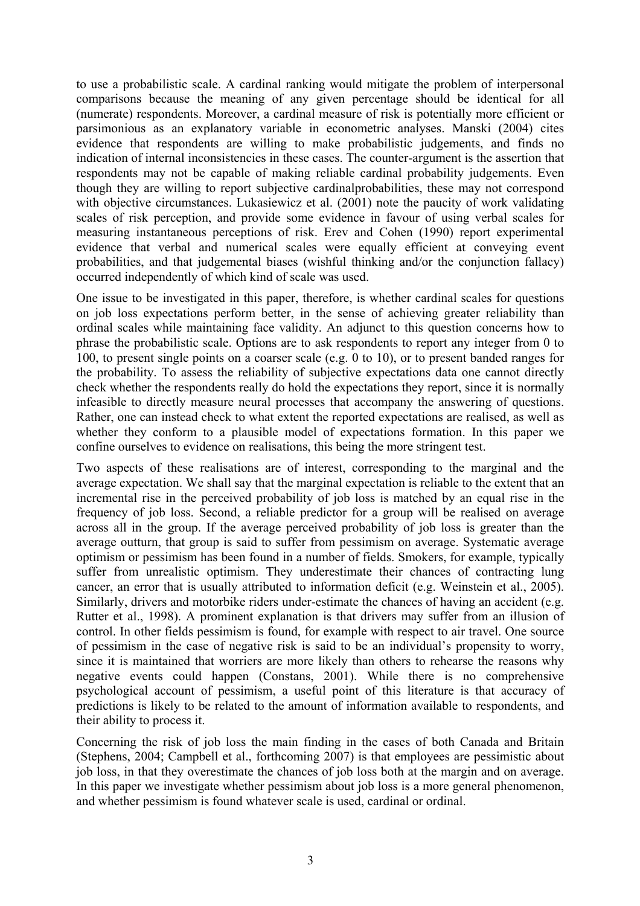to use a probabilistic scale. A cardinal ranking would mitigate the problem of interpersonal comparisons because the meaning of any given percentage should be identical for all (numerate) respondents. Moreover, a cardinal measure of risk is potentially more efficient or parsimonious as an explanatory variable in econometric analyses. Manski (2004) cites evidence that respondents are willing to make probabilistic judgements, and finds no indication of internal inconsistencies in these cases. The counter-argument is the assertion that respondents may not be capable of making reliable cardinal probability judgements. Even though they are willing to report subjective cardinalprobabilities, these may not correspond with objective circumstances. Lukasiewicz et al. (2001) note the paucity of work validating scales of risk perception, and provide some evidence in favour of using verbal scales for measuring instantaneous perceptions of risk. Erev and Cohen (1990) report experimental evidence that verbal and numerical scales were equally efficient at conveying event probabilities, and that judgemental biases (wishful thinking and/or the conjunction fallacy) occurred independently of which kind of scale was used.

One issue to be investigated in this paper, therefore, is whether cardinal scales for questions on job loss expectations perform better, in the sense of achieving greater reliability than ordinal scales while maintaining face validity. An adjunct to this question concerns how to phrase the probabilistic scale. Options are to ask respondents to report any integer from 0 to 100, to present single points on a coarser scale (e.g. 0 to 10), or to present banded ranges for the probability. To assess the reliability of subjective expectations data one cannot directly check whether the respondents really do hold the expectations they report, since it is normally infeasible to directly measure neural processes that accompany the answering of questions. Rather, one can instead check to what extent the reported expectations are realised, as well as whether they conform to a plausible model of expectations formation. In this paper we confine ourselves to evidence on realisations, this being the more stringent test.

Two aspects of these realisations are of interest, corresponding to the marginal and the average expectation. We shall say that the marginal expectation is reliable to the extent that an incremental rise in the perceived probability of job loss is matched by an equal rise in the frequency of job loss. Second, a reliable predictor for a group will be realised on average across all in the group. If the average perceived probability of job loss is greater than the average outturn, that group is said to suffer from pessimism on average. Systematic average optimism or pessimism has been found in a number of fields. Smokers, for example, typically suffer from unrealistic optimism. They underestimate their chances of contracting lung cancer, an error that is usually attributed to information deficit (e.g. Weinstein et al., 2005). Similarly, drivers and motorbike riders under-estimate the chances of having an accident (e.g. Rutter et al., 1998). A prominent explanation is that drivers may suffer from an illusion of control. In other fields pessimism is found, for example with respect to air travel. One source of pessimism in the case of negative risk is said to be an individual's propensity to worry, since it is maintained that worriers are more likely than others to rehearse the reasons why negative events could happen (Constans, 2001). While there is no comprehensive psychological account of pessimism, a useful point of this literature is that accuracy of predictions is likely to be related to the amount of information available to respondents, and their ability to process it.

Concerning the risk of job loss the main finding in the cases of both Canada and Britain (Stephens, 2004; Campbell et al., forthcoming 2007) is that employees are pessimistic about job loss, in that they overestimate the chances of job loss both at the margin and on average. In this paper we investigate whether pessimism about job loss is a more general phenomenon, and whether pessimism is found whatever scale is used, cardinal or ordinal.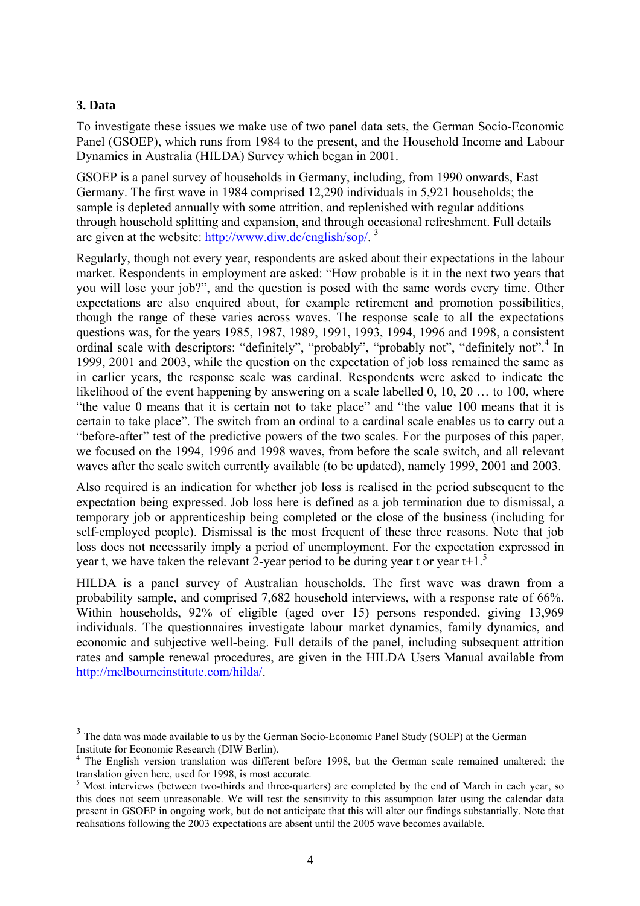## **3. Data**

 $\overline{a}$ 

To investigate these issues we make use of two panel data sets, the German Socio-Economic Panel (GSOEP), which runs from 1984 to the present, and the Household Income and Labour Dynamics in Australia (HILDA) Survey which began in 2001.

GSOEP is a panel survey of households in Germany, including, from 1990 onwards, East Germany. The first wave in 1984 comprised 12,290 individuals in 5,921 households; the sample is depleted annually with some attrition, and replenished with regular additions through household splitting and expansion, and through occasional refreshment. Full details are given at the website: [http://www.diw.de/english/sop/.](http://www.diw.de/english/sop/)<sup>[3](#page-5-0)</sup>

Regularly, though not every year, respondents are asked about their expectations in the labour market. Respondents in employment are asked: "How probable is it in the next two years that you will lose your job?", and the question is posed with the same words every time. Other expectations are also enquired about, for example retirement and promotion possibilities, though the range of these varies across waves. The response scale to all the expectations questions was, for the years 1985, 1987, 1989, 1991, 1993, 1994, 1996 and 1998, a consistent ordinalscale with descriptors: "definitely", "probably", "probably not", "definitely not".<sup>4</sup> In 1999, 2001 and 2003, while the question on the expectation of job loss remained the same as in earlier years, the response scale was cardinal. Respondents were asked to indicate the likelihood of the event happening by answering on a scale labelled 0, 10, 20 ... to 100, where "the value 0 means that it is certain not to take place" and "the value 100 means that it is certain to take place". The switch from an ordinal to a cardinal scale enables us to carry out a "before-after" test of the predictive powers of the two scales. For the purposes of this paper, we focused on the 1994, 1996 and 1998 waves, from before the scale switch, and all relevant waves after the scale switch currently available (to be updated), namely 1999, 2001 and 2003.

Also required is an indication for whether job loss is realised in the period subsequent to the expectation being expressed. Job loss here is defined as a job termination due to dismissal, a temporary job or apprenticeship being completed or the close of the business (including for self-employed people). Dismissal is the most frequent of these three reasons. Note that job loss does not necessarily imply a period of unemployment. For the expectation expressed in year t, we have taken the relevant 2-year period to be during year t or year  $t+1$ .<sup>[5](#page-5-2)</sup>

HILDA is a panel survey of Australian households. The first wave was drawn from a probability sample, and comprised 7,682 household interviews, with a response rate of 66%. Within households, 92% of eligible (aged over 15) persons responded, giving 13,969 individuals. The questionnaires investigate labour market dynamics, family dynamics, and economic and subjective well-being. Full details of the panel, including subsequent attrition rates and sample renewal procedures, are given in the HILDA Users Manual available from [http://melbourneinstitute.com/hilda/.](http://melbourneinstitute.com/hilda/)

<span id="page-5-0"></span><sup>&</sup>lt;sup>3</sup> The data was made available to us by the German Socio-Economic Panel Study (SOEP) at the German Institute for Economic Research (DIW Berlin). 4

<span id="page-5-1"></span>The English version translation was different before 1998, but the German scale remained unaltered; the translation given here, used for 1998, is most accurate.

<span id="page-5-2"></span><sup>&</sup>lt;sup>5</sup> Most interviews (between two-thirds and three-quarters) are completed by the end of March in each year, so this does not seem unreasonable. We will test the sensitivity to this assumption later using the calendar data present in GSOEP in ongoing work, but do not anticipate that this will alter our findings substantially. Note that realisations following the 2003 expectations are absent until the 2005 wave becomes available.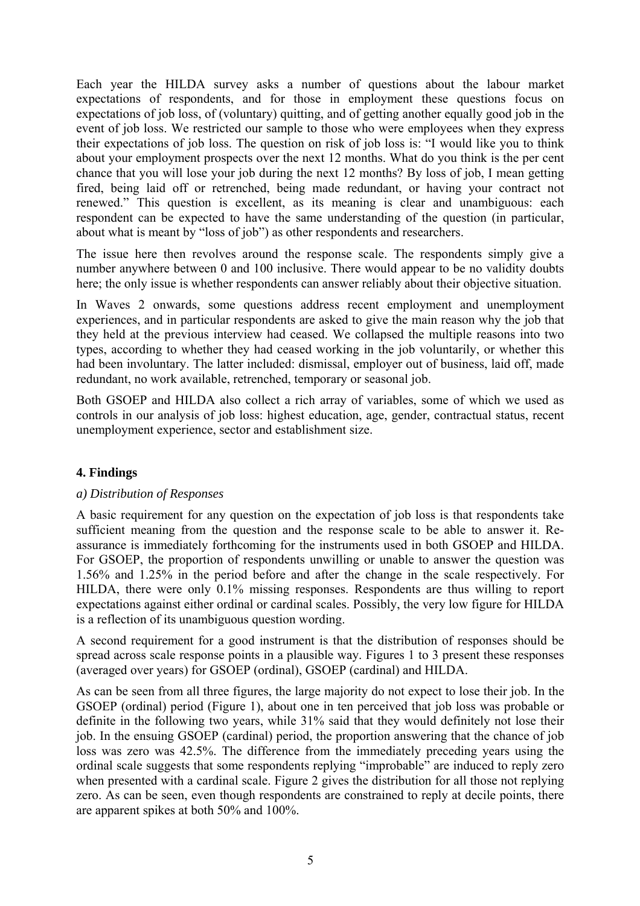Each year the HILDA survey asks a number of questions about the labour market expectations of respondents, and for those in employment these questions focus on expectations of job loss, of (voluntary) quitting, and of getting another equally good job in the event of job loss. We restricted our sample to those who were employees when they express their expectations of job loss. The question on risk of job loss is: "I would like you to think about your employment prospects over the next 12 months. What do you think is the per cent chance that you will lose your job during the next 12 months? By loss of job, I mean getting fired, being laid off or retrenched, being made redundant, or having your contract not renewed." This question is excellent, as its meaning is clear and unambiguous: each respondent can be expected to have the same understanding of the question (in particular, about what is meant by "loss of job") as other respondents and researchers.

The issue here then revolves around the response scale. The respondents simply give a number anywhere between 0 and 100 inclusive. There would appear to be no validity doubts here; the only issue is whether respondents can answer reliably about their objective situation.

In Waves 2 onwards, some questions address recent employment and unemployment experiences, and in particular respondents are asked to give the main reason why the job that they held at the previous interview had ceased. We collapsed the multiple reasons into two types, according to whether they had ceased working in the job voluntarily, or whether this had been involuntary. The latter included: dismissal, employer out of business, laid off, made redundant, no work available, retrenched, temporary or seasonal job.

Both GSOEP and HILDA also collect a rich array of variables, some of which we used as controls in our analysis of job loss: highest education, age, gender, contractual status, recent unemployment experience, sector and establishment size.

## **4. Findings**

## *a) Distribution of Responses*

A basic requirement for any question on the expectation of job loss is that respondents take sufficient meaning from the question and the response scale to be able to answer it. Reassurance is immediately forthcoming for the instruments used in both GSOEP and HILDA. For GSOEP, the proportion of respondents unwilling or unable to answer the question was 1.56% and 1.25% in the period before and after the change in the scale respectively. For HILDA, there were only 0.1% missing responses. Respondents are thus willing to report expectations against either ordinal or cardinal scales. Possibly, the very low figure for HILDA is a reflection of its unambiguous question wording.

A second requirement for a good instrument is that the distribution of responses should be spread across scale response points in a plausible way. Figures 1 to 3 present these responses (averaged over years) for GSOEP (ordinal), GSOEP (cardinal) and HILDA.

As can be seen from all three figures, the large majority do not expect to lose their job. In the GSOEP (ordinal) period (Figure 1), about one in ten perceived that job loss was probable or definite in the following two years, while 31% said that they would definitely not lose their job. In the ensuing GSOEP (cardinal) period, the proportion answering that the chance of job loss was zero was 42.5%. The difference from the immediately preceding years using the ordinal scale suggests that some respondents replying "improbable" are induced to reply zero when presented with a cardinal scale. Figure 2 gives the distribution for all those not replying zero. As can be seen, even though respondents are constrained to reply at decile points, there are apparent spikes at both 50% and 100%.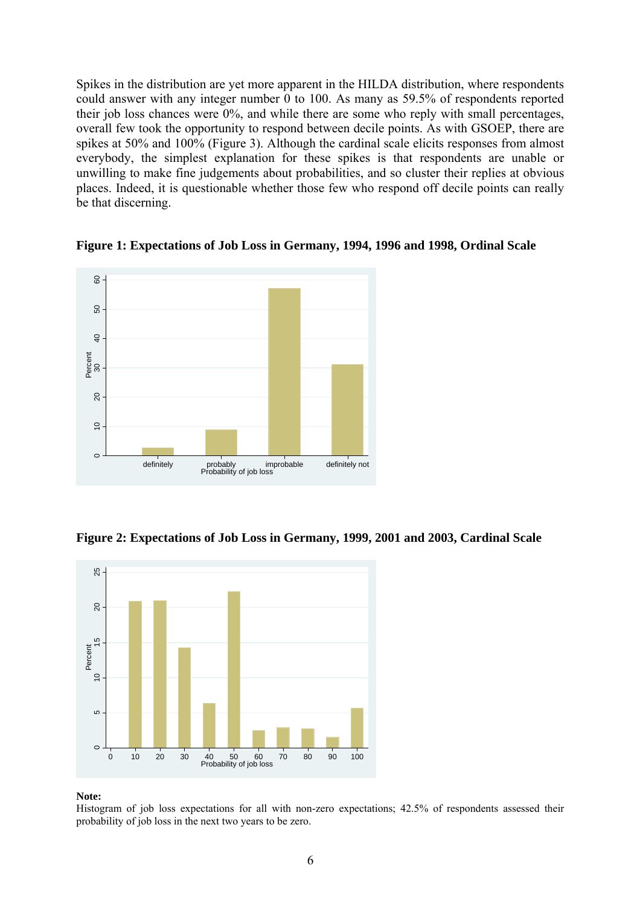Spikes in the distribution are yet more apparent in the HILDA distribution, where respondents could answer with any integer number 0 to 100. As many as 59.5% of respondents reported their job loss chances were 0%, and while there are some who reply with small percentages, overall few took the opportunity to respond between decile points. As with GSOEP, there are spikes at 50% and 100% (Figure 3). Although the cardinal scale elicits responses from almost everybody, the simplest explanation for these spikes is that respondents are unable or unwilling to make fine judgements about probabilities, and so cluster their replies at obvious places. Indeed, it is questionable whether those few who respond off decile points can really be that discerning.



**Figure 1: Expectations of Job Loss in Germany, 1994, 1996 and 1998, Ordinal Scale** 

**Figure 2: Expectations of Job Loss in Germany, 1999, 2001 and 2003, Cardinal Scale** 



### **Note:**

Histogram of job loss expectations for all with non-zero expectations; 42.5% of respondents assessed their probability of job loss in the next two years to be zero.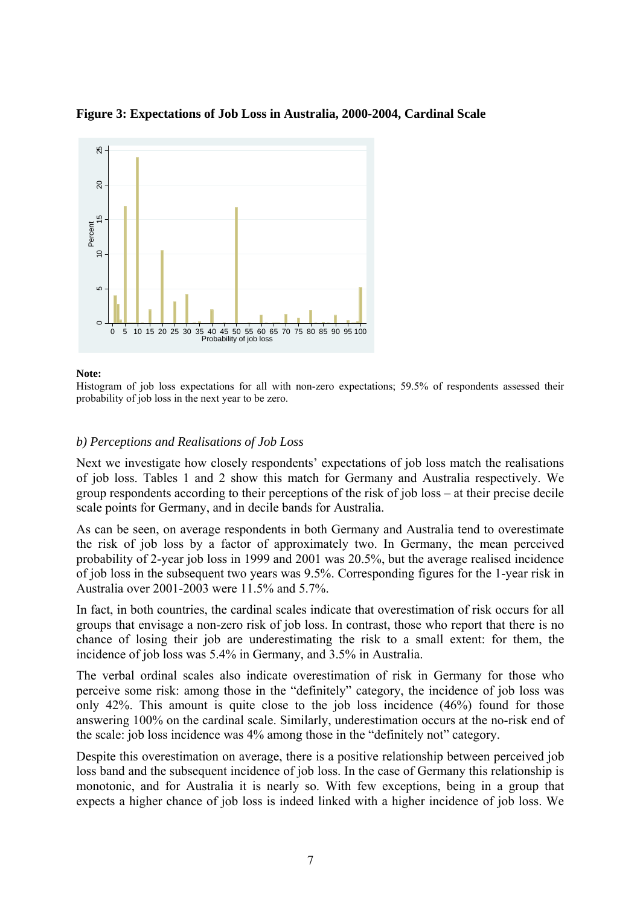

### **Figure 3: Expectations of Job Loss in Australia, 2000-2004, Cardinal Scale**

### **Note:**

Histogram of job loss expectations for all with non-zero expectations; 59.5% of respondents assessed their probability of job loss in the next year to be zero.

### *b) Perceptions and Realisations of Job Loss*

Next we investigate how closely respondents' expectations of job loss match the realisations of job loss. Tables 1 and 2 show this match for Germany and Australia respectively. We group respondents according to their perceptions of the risk of job loss – at their precise decile scale points for Germany, and in decile bands for Australia.

As can be seen, on average respondents in both Germany and Australia tend to overestimate the risk of job loss by a factor of approximately two. In Germany, the mean perceived probability of 2-year job loss in 1999 and 2001 was 20.5%, but the average realised incidence of job loss in the subsequent two years was 9.5%. Corresponding figures for the 1-year risk in Australia over 2001-2003 were 11.5% and 5.7%.

In fact, in both countries, the cardinal scales indicate that overestimation of risk occurs for all groups that envisage a non-zero risk of job loss. In contrast, those who report that there is no chance of losing their job are underestimating the risk to a small extent: for them, the incidence of job loss was 5.4% in Germany, and 3.5% in Australia.

The verbal ordinal scales also indicate overestimation of risk in Germany for those who perceive some risk: among those in the "definitely" category, the incidence of job loss was only 42%. This amount is quite close to the job loss incidence (46%) found for those answering 100% on the cardinal scale. Similarly, underestimation occurs at the no-risk end of the scale: job loss incidence was 4% among those in the "definitely not" category.

Despite this overestimation on average, there is a positive relationship between perceived job loss band and the subsequent incidence of job loss. In the case of Germany this relationship is monotonic, and for Australia it is nearly so. With few exceptions, being in a group that expects a higher chance of job loss is indeed linked with a higher incidence of job loss. We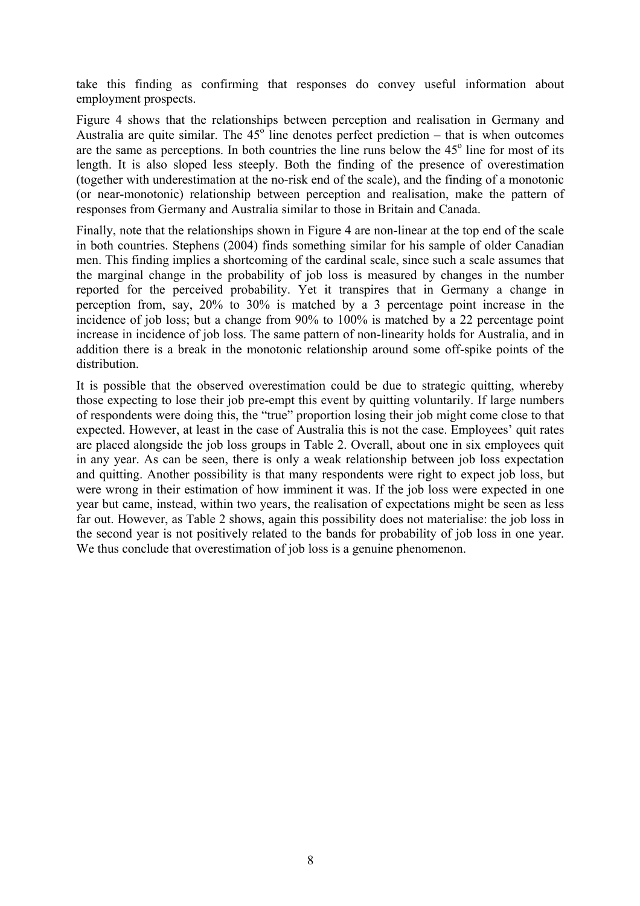take this finding as confirming that responses do convey useful information about employment prospects.

Figure 4 shows that the relationships between perception and realisation in Germany and Australia are quite similar. The  $45^\circ$  line denotes perfect prediction – that is when outcomes are the same as perceptions. In both countries the line runs below the  $45^\circ$  line for most of its length. It is also sloped less steeply. Both the finding of the presence of overestimation (together with underestimation at the no-risk end of the scale), and the finding of a monotonic (or near-monotonic) relationship between perception and realisation, make the pattern of responses from Germany and Australia similar to those in Britain and Canada.

Finally, note that the relationships shown in Figure 4 are non-linear at the top end of the scale in both countries. Stephens (2004) finds something similar for his sample of older Canadian men. This finding implies a shortcoming of the cardinal scale, since such a scale assumes that the marginal change in the probability of job loss is measured by changes in the number reported for the perceived probability. Yet it transpires that in Germany a change in perception from, say, 20% to 30% is matched by a 3 percentage point increase in the incidence of job loss; but a change from 90% to 100% is matched by a 22 percentage point increase in incidence of job loss. The same pattern of non-linearity holds for Australia, and in addition there is a break in the monotonic relationship around some off-spike points of the distribution.

It is possible that the observed overestimation could be due to strategic quitting, whereby those expecting to lose their job pre-empt this event by quitting voluntarily. If large numbers of respondents were doing this, the "true" proportion losing their job might come close to that expected. However, at least in the case of Australia this is not the case. Employees' quit rates are placed alongside the job loss groups in Table 2. Overall, about one in six employees quit in any year. As can be seen, there is only a weak relationship between job loss expectation and quitting. Another possibility is that many respondents were right to expect job loss, but were wrong in their estimation of how imminent it was. If the job loss were expected in one year but came, instead, within two years, the realisation of expectations might be seen as less far out. However, as Table 2 shows, again this possibility does not materialise: the job loss in the second year is not positively related to the bands for probability of job loss in one year. We thus conclude that overestimation of job loss is a genuine phenomenon.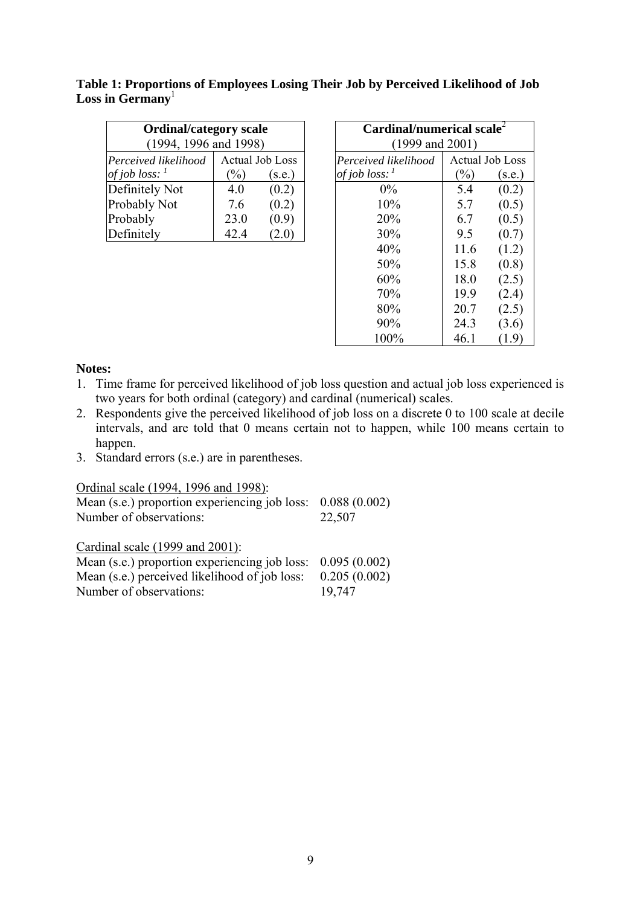| <b>Ordinal/category scale</b><br>(1994, 1996, and 1998) |               |                        | Cardinal/numerical scale $2$<br>$(1999 \text{ and } 2001)$ |      |                 |
|---------------------------------------------------------|---------------|------------------------|------------------------------------------------------------|------|-----------------|
| Perceived likelihood                                    |               | <b>Actual Job Loss</b> | Perceived likelihood                                       |      | Actual Job Loss |
| of job loss: $\frac{1}{2}$                              | $\frac{1}{2}$ | (s.e.)                 | of job loss: $\frac{1}{2}$                                 | $\%$ | (s.e.)          |
| Definitely Not                                          | 40            | (0.2)                  | $0\%$                                                      | 5.4  | (0.2)           |
| Probably Not                                            | 7.6           | (0.2)                  | 10%                                                        | 5.7  | (0.5)           |
| Probably                                                | 23.0          | (0.9)                  | 20%                                                        | 6.7  | (0.5)           |
| Definitely                                              | 42.4          | 2.0                    | 30%                                                        | 95   |                 |

| Table 1: Proportions of Employees Losing Their Job by Perceived Likelihood of Job |  |
|-----------------------------------------------------------------------------------|--|
| Loss in Germany                                                                   |  |

| $\textbf{Cardinal/numerical scale}^2$<br>$(1999 \text{ and } 2001)$ |        |                        |  |  |  |  |
|---------------------------------------------------------------------|--------|------------------------|--|--|--|--|
| Perceived likelihood                                                |        | <b>Actual Job Loss</b> |  |  |  |  |
| of job loss:                                                        | $(\%)$ | (s.e.)                 |  |  |  |  |
| $0\%$                                                               | 5.4    | (0.2)                  |  |  |  |  |
| 10%                                                                 | 5.7    | (0.5)                  |  |  |  |  |
| 20%                                                                 | 6.7    | (0.5)                  |  |  |  |  |
| 30%                                                                 | 9.5    | (0.7)                  |  |  |  |  |
| 40%                                                                 | 11.6   | (1.2)                  |  |  |  |  |
| 50%                                                                 | 15.8   | (0.8)                  |  |  |  |  |
| 60%                                                                 | 18.0   | (2.5)                  |  |  |  |  |
| 70%                                                                 | 19.9   | (2.4)                  |  |  |  |  |
| 80%                                                                 | 20.7   | (2.5)                  |  |  |  |  |
| 90%                                                                 | 24.3   | (3.6)                  |  |  |  |  |
| 100%                                                                | 46.1   | (1.9)                  |  |  |  |  |

## **Notes:**

- 1. Time frame for perceived likelihood of job loss question and actual job loss experienced is two years for both ordinal (category) and cardinal (numerical) scales.
- 2. Respondents give the perceived likelihood of job loss on a discrete 0 to 100 scale at decile intervals, and are told that 0 means certain not to happen, while 100 means certain to happen.
- 3. Standard errors (s.e.) are in parentheses.

| Ordinal scale (1994, 1996 and 1998):          |              |
|-----------------------------------------------|--------------|
| Mean (s.e.) proportion experiencing job loss: | 0.088(0.002) |
| Number of observations:                       | 22,507       |
| Cardinal scale (1999 and 2001):               |              |
| Mean (s.e.) proportion experiencing job loss: | 0.095(0.002) |
| Mean (s.e.) perceived likelihood of job loss: | 0.205(0.002) |
| Number of observations:                       | 19,747       |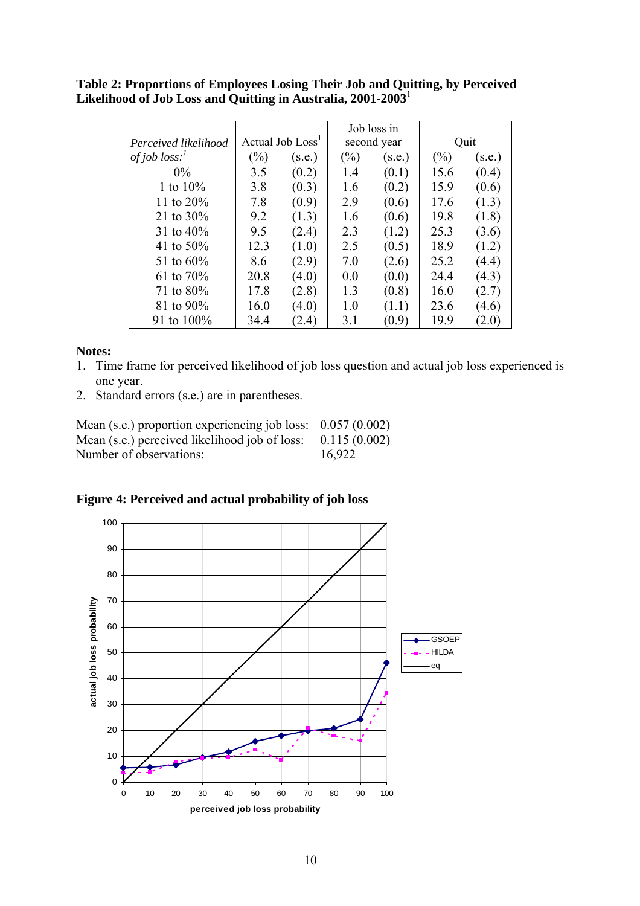**Table 2: Proportions of Employees Losing Their Job and Quitting, by Perceived Likelihood of Job Loss and Quitting in Australia, 2001-2003**<sup>1</sup>

|                      |      |                              |               | Job loss in |                            |        |
|----------------------|------|------------------------------|---------------|-------------|----------------------------|--------|
| Perceived likelihood |      | Actual Job Loss <sup>1</sup> |               | second year |                            | Quit   |
| of job $loss$ :      | $\%$ | (s.e.)                       | $\frac{1}{2}$ | (s.e.)      | $\left(\frac{0}{0}\right)$ | (s.e.) |
| $0\%$                | 3.5  | (0.2)                        | 1.4           | (0.1)       | 15.6                       | (0.4)  |
| 1 to $10\%$          | 3.8  | (0.3)                        | 1.6           | (0.2)       | 15.9                       | (0.6)  |
| 11 to $20\%$         | 7.8  | (0.9)                        | 2.9           | (0.6)       | 17.6                       | (1.3)  |
| 21 to $30\%$         | 9.2  | (1.3)                        | 1.6           | (0.6)       | 19.8                       | (1.8)  |
| 31 to $40\%$         | 9.5  | (2.4)                        | 2.3           | (1.2)       | 25.3                       | (3.6)  |
| 41 to $50\%$         | 12.3 | (1.0)                        | 2.5           | (0.5)       | 18.9                       | (1.2)  |
| 51 to $60\%$         | 8.6  | (2.9)                        | 7.0           | (2.6)       | 25.2                       | (4.4)  |
| 61 to $70\%$         | 20.8 | (4.0)                        | 0.0           | (0.0)       | 24.4                       | (4.3)  |
| 71 to $80\%$         | 17.8 | (2.8)                        | 1.3           | (0.8)       | 16.0                       | (2.7)  |
| 81 to 90%            | 16.0 | (4.0)                        | 1.0           | (1.1)       | 23.6                       | (4.6)  |
| 91 to 100%           | 34.4 | (2.4)                        | 3.1           | (0.9)       | 19.9                       | (2.0)  |

## **Notes:**

- 1. Time frame for perceived likelihood of job loss question and actual job loss experienced is one year.
- 2. Standard errors (s.e.) are in parentheses.

| Mean (s.e.) proportion experiencing job loss: $0.057(0.002)$ |        |
|--------------------------------------------------------------|--------|
| Mean (s.e.) perceived likelihood job of loss: $0.115(0.002)$ |        |
| Number of observations:                                      | 16,922 |

**Figure 4: Perceived and actual probability of job loss** 

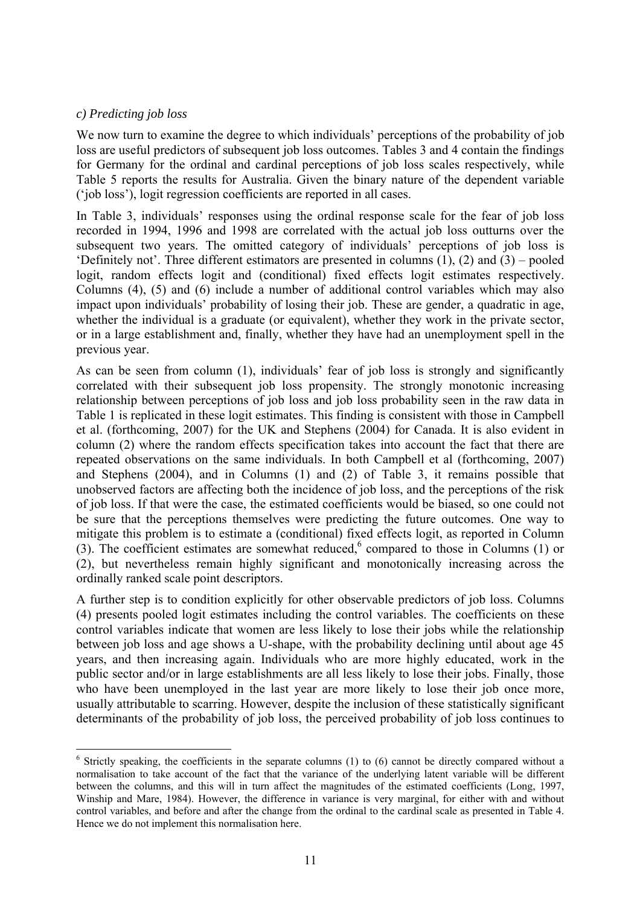## *c) Predicting job loss*

 $\overline{a}$ 

We now turn to examine the degree to which individuals' perceptions of the probability of job loss are useful predictors of subsequent job loss outcomes. Tables 3 and 4 contain the findings for Germany for the ordinal and cardinal perceptions of job loss scales respectively, while Table 5 reports the results for Australia. Given the binary nature of the dependent variable ('job loss'), logit regression coefficients are reported in all cases.

In Table 3, individuals' responses using the ordinal response scale for the fear of job loss recorded in 1994, 1996 and 1998 are correlated with the actual job loss outturns over the subsequent two years. The omitted category of individuals' perceptions of job loss is 'Definitely not'. Three different estimators are presented in columns (1), (2) and (3) – pooled logit, random effects logit and (conditional) fixed effects logit estimates respectively. Columns (4), (5) and (6) include a number of additional control variables which may also impact upon individuals' probability of losing their job. These are gender, a quadratic in age, whether the individual is a graduate (or equivalent), whether they work in the private sector, or in a large establishment and, finally, whether they have had an unemployment spell in the previous year.

As can be seen from column (1), individuals' fear of job loss is strongly and significantly correlated with their subsequent job loss propensity. The strongly monotonic increasing relationship between perceptions of job loss and job loss probability seen in the raw data in Table 1 is replicated in these logit estimates. This finding is consistent with those in Campbell et al. (forthcoming, 2007) for the UK and Stephens (2004) for Canada. It is also evident in column (2) where the random effects specification takes into account the fact that there are repeated observations on the same individuals. In both Campbell et al (forthcoming, 2007) and Stephens (2004), and in Columns (1) and (2) of Table 3, it remains possible that unobserved factors are affecting both the incidence of job loss, and the perceptions of the risk of job loss. If that were the case, the estimated coefficients would be biased, so one could not be sure that the perceptions themselves were predicting the future outcomes. One way to mitigate this problem is to estimate a (conditional) fixed effects logit, as reported in Column (3).The coefficient estimates are somewhat reduced,<sup>6</sup> compared to those in Columns (1) or (2), but nevertheless remain highly significant and monotonically increasing across the ordinally ranked scale point descriptors.

A further step is to condition explicitly for other observable predictors of job loss. Columns (4) presents pooled logit estimates including the control variables. The coefficients on these control variables indicate that women are less likely to lose their jobs while the relationship between job loss and age shows a U-shape, with the probability declining until about age 45 years, and then increasing again. Individuals who are more highly educated, work in the public sector and/or in large establishments are all less likely to lose their jobs. Finally, those who have been unemployed in the last year are more likely to lose their job once more, usually attributable to scarring. However, despite the inclusion of these statistically significant determinants of the probability of job loss, the perceived probability of job loss continues to

<span id="page-12-0"></span> $6$  Strictly speaking, the coefficients in the separate columns (1) to (6) cannot be directly compared without a normalisation to take account of the fact that the variance of the underlying latent variable will be different between the columns, and this will in turn affect the magnitudes of the estimated coefficients (Long, 1997, Winship and Mare, 1984). However, the difference in variance is very marginal, for either with and without control variables, and before and after the change from the ordinal to the cardinal scale as presented in Table 4. Hence we do not implement this normalisation here.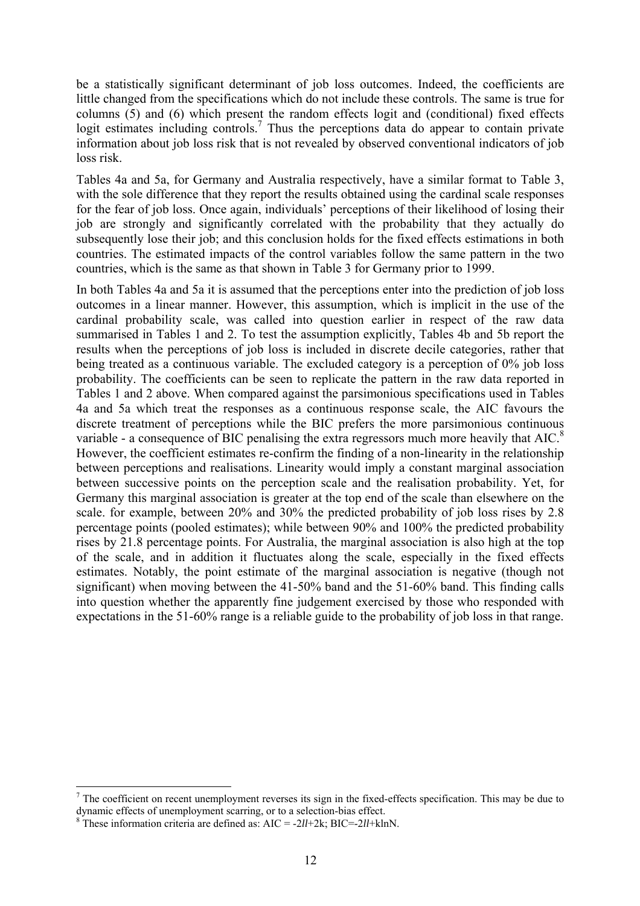be a statistically significant determinant of job loss outcomes. Indeed, the coefficients are little changed from the specifications which do not include these controls. The same is true for columns (5) and (6) which present the random effects logit and (conditional) fixed effects logit estimates including controls.<sup>[7](#page-13-0)</sup> Thus the perceptions data do appear to contain private information about job loss risk that is not revealed by observed conventional indicators of job loss risk.

Tables 4a and 5a, for Germany and Australia respectively, have a similar format to Table 3, with the sole difference that they report the results obtained using the cardinal scale responses for the fear of job loss. Once again, individuals' perceptions of their likelihood of losing their job are strongly and significantly correlated with the probability that they actually do subsequently lose their job; and this conclusion holds for the fixed effects estimations in both countries. The estimated impacts of the control variables follow the same pattern in the two countries, which is the same as that shown in Table 3 for Germany prior to 1999.

In both Tables 4a and 5a it is assumed that the perceptions enter into the prediction of job loss outcomes in a linear manner. However, this assumption, which is implicit in the use of the cardinal probability scale, was called into question earlier in respect of the raw data summarised in Tables 1 and 2. To test the assumption explicitly, Tables 4b and 5b report the results when the perceptions of job loss is included in discrete decile categories, rather that being treated as a continuous variable. The excluded category is a perception of 0% job loss probability. The coefficients can be seen to replicate the pattern in the raw data reported in Tables 1 and 2 above. When compared against the parsimonious specifications used in Tables 4a and 5a which treat the responses as a continuous response scale, the AIC favours the discrete treatment of perceptions while the BIC prefers the more parsimonious continuous variable - a consequence of BIC penalising the extra regressors much more heavily that AIC.<sup>[8](#page-13-1)</sup> However, the coefficient estimates re-confirm the finding of a non-linearity in the relationship between perceptions and realisations. Linearity would imply a constant marginal association between successive points on the perception scale and the realisation probability. Yet, for Germany this marginal association is greater at the top end of the scale than elsewhere on the scale, for example, between 20% and 30% the predicted probability of job loss rises by 2.8 percentage points (pooled estimates); while between 90% and 100% the predicted probability rises by 21.8 percentage points. For Australia, the marginal association is also high at the top of the scale, and in addition it fluctuates along the scale, especially in the fixed effects estimates. Notably, the point estimate of the marginal association is negative (though not significant) when moving between the 41-50% band and the 51-60% band. This finding calls into question whether the apparently fine judgement exercised by those who responded with expectations in the 51-60% range is a reliable guide to the probability of job loss in that range.

 $\overline{a}$ 

<span id="page-13-0"></span> $<sup>7</sup>$  The coefficient on recent unemployment reverses its sign in the fixed-effects specification. This may be due to</sup> dynamic effects of unemployment scarring, or to a selection-bias effect.

<span id="page-13-1"></span><sup>&</sup>lt;sup>8</sup> These information criteria are defined as:  $AIC = -2ll + 2k$ ;  $BIC = -2ll + klnN$ .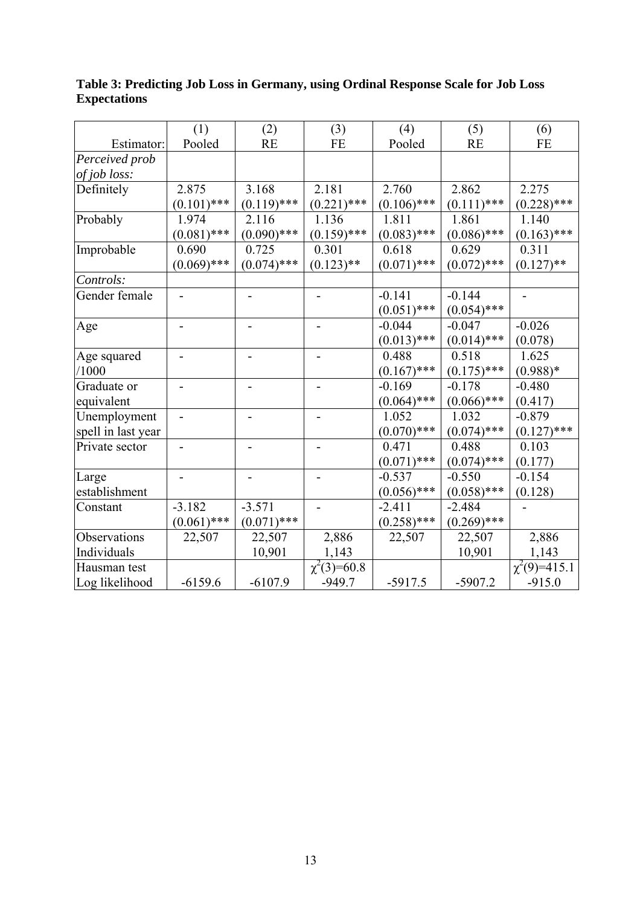|                    | (1)           | (2)           | (3)                          | (4)           | (5)           | (6)               |
|--------------------|---------------|---------------|------------------------------|---------------|---------------|-------------------|
| Estimator:         | Pooled        | <b>RE</b>     | <b>FE</b>                    | Pooled        | <b>RE</b>     | FE                |
| Perceived prob     |               |               |                              |               |               |                   |
| of job loss:       |               |               |                              |               |               |                   |
| Definitely         | 2.875         | 3.168         | 2.181                        | 2.760         | 2.862         | 2.275             |
|                    | $(0.101)$ *** | $(0.119)$ *** | $(0.221)$ ***                | $(0.106)$ *** | $(0.111)$ *** | $(0.228)$ ***     |
| Probably           | 1.974         | 2.116         | 1.136                        | 1.811         | 1.861         | 1.140             |
|                    | $(0.081)$ *** | $(0.090)$ *** | $(0.159)$ ***                | $(0.083)$ *** | $(0.086)$ *** | $(0.163)$ ***     |
| Improbable         | 0.690         | 0.725         | 0.301                        | 0.618         | 0.629         | 0.311             |
|                    | $(0.069)$ *** | $(0.074)$ *** | $(0.123)$ **                 | $(0.071)$ *** | $(0.072)$ *** | $(0.127)$ **      |
| Controls:          |               |               |                              |               |               |                   |
| Gender female      |               |               |                              | $-0.141$      | $-0.144$      |                   |
|                    |               |               |                              | $(0.051)$ *** | $(0.054)$ *** |                   |
| Age                |               |               |                              | $-0.044$      | $-0.047$      | $-0.026$          |
|                    |               |               |                              | $(0.013)$ *** | $(0.014)$ *** | (0.078)           |
| Age squared        |               |               | $\qquad \qquad \blacksquare$ | 0.488         | 0.518         | 1.625             |
| /1000              |               |               |                              | $(0.167)$ *** | $(0.175)$ *** | $(0.988)*$        |
| Graduate or        |               |               |                              | $-0.169$      | $-0.178$      | $-0.480$          |
| equivalent         |               |               |                              | $(0.064)$ *** | $(0.066)$ *** | (0.417)           |
| Unemployment       |               |               |                              | 1.052         | 1.032         | $-0.879$          |
| spell in last year |               |               |                              | $(0.070)$ *** | $(0.074)$ *** | $(0.127)$ ***     |
| Private sector     |               |               |                              | 0.471         | 0.488         | 0.103             |
|                    |               |               |                              | $(0.071)$ *** | $(0.074)$ *** | (0.177)           |
| Large              |               |               |                              | $-0.537$      | $-0.550$      | $-0.154$          |
| establishment      |               |               |                              | $(0.056)$ *** | $(0.058)$ *** | (0.128)           |
| Constant           | $-3.182$      | $-3.571$      | $\overline{\phantom{0}}$     | $-2.411$      | $-2.484$      |                   |
|                    | $(0.061)$ *** | $(0.071)$ *** |                              | $(0.258)$ *** | $(0.269)$ *** |                   |
| Observations       | 22,507        | 22,507        | 2,886                        | 22,507        | 22,507        | 2,886             |
| Individuals        |               | 10,901        | 1,143                        |               | 10,901        | 1,143             |
| Hausman test       |               |               | $\chi^2(3)=60.8$             |               |               | $\chi^2(9)=415.1$ |
| Log likelihood     | $-6159.6$     | $-6107.9$     | $-949.7$                     | $-5917.5$     | $-5907.2$     | $-915.0$          |

# **Table 3: Predicting Job Loss in Germany, using Ordinal Response Scale for Job Loss Expectations**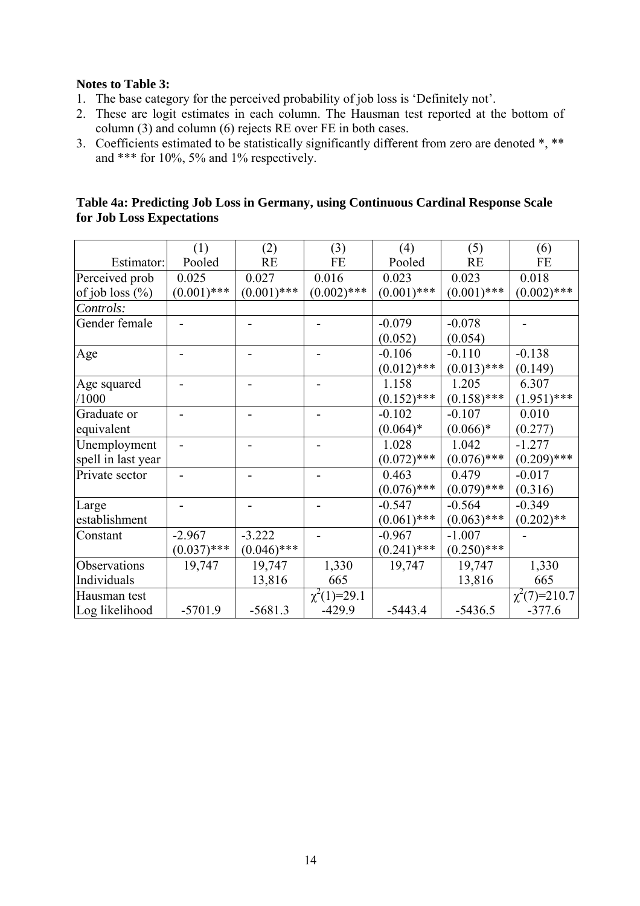## **Notes to Table 3:**

- 1. The base category for the perceived probability of job loss is 'Definitely not'.
- 2. These are logit estimates in each column. The Hausman test reported at the bottom of column (3) and column (6) rejects RE over FE in both cases.
- 3. Coefficients estimated to be statistically significantly different from zero are denoted \*, \*\* and \*\*\* for 10%, 5% and 1% respectively.

|                           | Table 4a: Predicting Job Loss in Germany, using Continuous Cardinal Response Scale |
|---------------------------|------------------------------------------------------------------------------------|
| for Job Loss Expectations |                                                                                    |

|                     | (1)           | (2)           | (3)              | (4)           | (5)           | (6)               |
|---------------------|---------------|---------------|------------------|---------------|---------------|-------------------|
| Estimator:          | Pooled        | <b>RE</b>     | FE               | Pooled        | <b>RE</b>     | FE                |
| Perceived prob      | 0.025         | 0.027         | 0.016            | 0.023         | 0.023         | 0.018             |
| of job loss $(\% )$ | $(0.001)$ *** | $(0.001)$ *** | $(0.002)$ ***    | $(0.001)$ *** | $(0.001)$ *** | $(0.002)$ ***     |
| Controls:           |               |               |                  |               |               |                   |
| Gender female       |               |               |                  | $-0.079$      | $-0.078$      |                   |
|                     |               |               |                  | (0.052)       | (0.054)       |                   |
| Age                 |               |               |                  | $-0.106$      | $-0.110$      | $-0.138$          |
|                     |               |               |                  | $(0.012)$ *** | $(0.013)$ *** | (0.149)           |
| Age squared         |               |               |                  | 1.158         | 1.205         | 6.307             |
| /1000               |               |               |                  | $(0.152)$ *** | $(0.158)$ *** | $(1.951)$ ***     |
| Graduate or         |               |               |                  | $-0.102$      | $-0.107$      | 0.010             |
| equivalent          |               |               |                  | $(0.064)*$    | $(0.066)*$    | (0.277)           |
| Unemployment        |               |               |                  | 1.028         | 1.042         | $-1.277$          |
| spell in last year  |               |               |                  | $(0.072)$ *** | $(0.076)$ *** | $(0.209)$ ***     |
| Private sector      |               |               |                  | 0.463         | 0.479         | $-0.017$          |
|                     |               |               |                  | $(0.076)$ *** | $(0.079)$ *** | (0.316)           |
| Large               |               |               |                  | $-0.547$      | $-0.564$      | $-0.349$          |
| establishment       |               |               |                  | $(0.061)$ *** | $(0.063)$ *** | $(0.202)$ **      |
| Constant            | $-2.967$      | $-3.222$      |                  | $-0.967$      | $-1.007$      |                   |
|                     | $(0.037)$ *** | $(0.046)$ *** |                  | $(0.241)$ *** | $(0.250)$ *** |                   |
| Observations        | 19,747        | 19,747        | 1,330            | 19,747        | 19,747        | 1,330             |
| Individuals         |               | 13,816        | 665              |               | 13,816        | 665               |
| Hausman test        |               |               | $\chi^2(1)=29.1$ |               |               | $\chi^2(7)=210.7$ |
| Log likelihood      | $-5701.9$     | $-5681.3$     | $-429.9$         | $-5443.4$     | $-5436.5$     | $-377.6$          |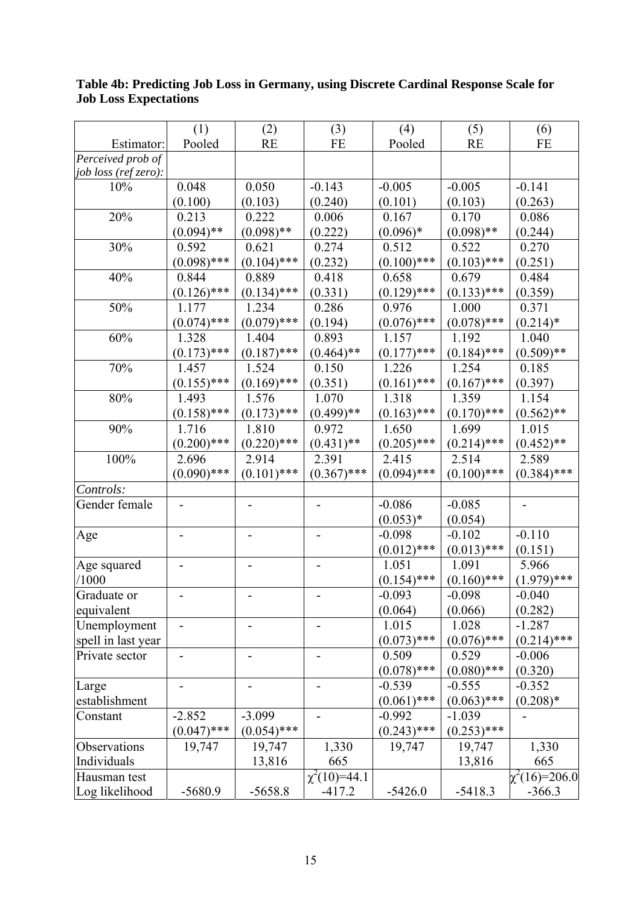|                      | (1)           | (2)           | (3)                      | (4)           | (5)           | (6)                |
|----------------------|---------------|---------------|--------------------------|---------------|---------------|--------------------|
| Estimator:           | Pooled        | <b>RE</b>     | <b>FE</b>                | Pooled        | <b>RE</b>     | <b>FE</b>          |
| Perceived prob of    |               |               |                          |               |               |                    |
| job loss (ref zero): |               |               |                          |               |               |                    |
| 10%                  | 0.048         | 0.050         | $-0.143$                 | $-0.005$      | $-0.005$      | $-0.141$           |
|                      | (0.100)       | (0.103)       | (0.240)                  | (0.101)       | (0.103)       | (0.263)            |
| 20%                  | 0.213         | 0.222         | 0.006                    | 0.167         | 0.170         | 0.086              |
|                      | $(0.094)$ **  | $(0.098)$ **  | (0.222)                  | $(0.096)*$    | $(0.098)$ **  | (0.244)            |
| 30%                  | 0.592         | 0.621         | 0.274                    | 0.512         | 0.522         | 0.270              |
|                      | $(0.098)$ *** | $(0.104)$ *** | (0.232)                  | $(0.100)$ *** | $(0.103)$ *** | (0.251)            |
| 40%                  | 0.844         | 0.889         | 0.418                    | 0.658         | 0.679         | 0.484              |
|                      | $(0.126)$ *** | $(0.134)$ *** | (0.331)                  | $(0.129)$ *** | $(0.133)$ *** | (0.359)            |
| 50%                  | 1.177         | 1.234         | 0.286                    | 0.976         | 1.000         | 0.371              |
|                      | $(0.074)$ *** | $(0.079)$ *** | (0.194)                  | $(0.076)$ *** | $(0.078)$ *** | $(0.214)^*$        |
| 60%                  | 1.328         | 1.404         | 0.893                    | 1.157         | 1.192         | 1.040              |
|                      | $(0.173)$ *** | $(0.187)$ *** | $(0.464)$ **             | $(0.177)$ *** | $(0.184)$ *** | $(0.509)$ **       |
| 70%                  | 1.457         | 1.524         | 0.150                    | 1.226         | 1.254         | 0.185              |
|                      | $(0.155)$ *** | $(0.169)$ *** | (0.351)                  | $(0.161)$ *** | $(0.167)$ *** | (0.397)            |
| 80%                  | 1.493         | 1.576         | 1.070                    | 1.318         | 1.359         | 1.154              |
|                      | $(0.158)$ *** | $(0.173)$ *** | $(0.499)**$              | $(0.163)$ *** | $(0.170)$ *** | $(0.562)$ **       |
| 90%                  | 1.716         | 1.810         | 0.972                    | 1.650         | 1.699         | 1.015              |
|                      | $(0.200)$ *** | $(0.220)$ *** | $(0.431)$ **             | $(0.205)$ *** | $(0.214)$ *** | $(0.452)$ **       |
| 100%                 | 2.696         | 2.914         | 2.391                    | 2.415         | 2.514         | 2.589              |
|                      | $(0.090)$ *** | $(0.101)$ *** | $(0.367)$ ***            | $(0.094)$ *** | $(0.100)$ *** | $(0.384)$ ***      |
| Controls:            |               |               |                          |               |               |                    |
| Gender female        |               |               |                          | $-0.086$      | $-0.085$      |                    |
|                      |               |               |                          | $(0.053)*$    | (0.054)       |                    |
| Age                  |               |               |                          | $-0.098$      | $-0.102$      | $-0.110$           |
|                      |               |               |                          | $(0.012)$ *** | $(0.013)$ *** | (0.151)            |
| Age squared          |               |               |                          | 1.051         | 1.091         | 5.966              |
| /1000                |               |               |                          | $(0.154)$ *** | $(0.160)$ *** | $(1.979)$ ***      |
| Graduate or          |               |               |                          | $-0.093$      | $-0.098$      | $-0.040$           |
| equivalent           |               |               |                          | (0.064)       | (0.066)       | (0.282)            |
| Unemployment         |               |               |                          | 1.015         | 1.028         | $-1.287$           |
| spell in last year   |               |               |                          | $(0.073)$ *** | $(0.076)$ *** | $(0.214)$ ***      |
| Private sector       |               |               |                          | 0.509         | 0.529         | $-0.006$           |
|                      |               |               |                          | $(0.078)$ *** | $(0.080)$ *** | (0.320)            |
| Large                |               |               | $\overline{\phantom{0}}$ | $-0.539$      | $-0.555$      | $-0.352$           |
| establishment        |               |               |                          | $(0.061)$ *** | $(0.063)$ *** | $(0.208)*$         |
| Constant             | $-2.852$      | $-3.099$      |                          | $-0.992$      | $-1.039$      |                    |
|                      | $(0.047)$ *** | $(0.054)$ *** |                          | $(0.243)$ *** | $(0.253)$ *** |                    |
| Observations         | 19,747        | 19,747        | 1,330                    | 19,747        | 19,747        | 1,330              |
| Individuals          |               | 13,816        | 665                      |               | 13,816        | 665                |
| Hausman test         |               |               | $\chi^2(10)=44.1$        |               |               | $\chi^2(16)=206.0$ |
| Log likelihood       | $-5680.9$     | $-5658.8$     | $-417.2$                 | $-5426.0$     | $-5418.3$     | $-366.3$           |
|                      |               |               |                          |               |               |                    |

## **Table 4b: Predicting Job Loss in Germany, using Discrete Cardinal Response Scale for Job Loss Expectations**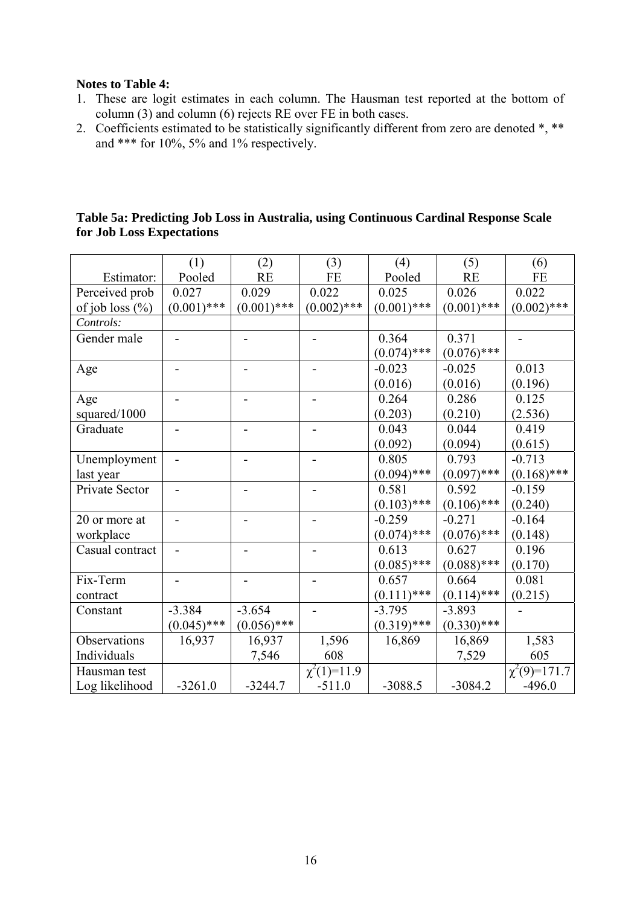### **Notes to Table 4:**

- 1. These are logit estimates in each column. The Hausman test reported at the bottom of column (3) and column (6) rejects RE over FE in both cases.
- 2. Coefficients estimated to be statistically significantly different from zero are denoted  $*, **$ and \*\*\* for 10%, 5% and 1% respectively.

|                     | (1)           | (2)           | (3)                         | (4)           | (5)           | (6)                         |
|---------------------|---------------|---------------|-----------------------------|---------------|---------------|-----------------------------|
| Estimator:          | Pooled        | RE            | <b>FE</b>                   | Pooled        | RE            | <b>FE</b>                   |
| Perceived prob      | 0.027         | 0.029         | 0.022                       | 0.025         | 0.026         | 0.022                       |
| of job loss $(\% )$ | $(0.001)$ *** | $(0.001)$ *** | $(0.002)$ ***               | $(0.001)$ *** | $(0.001)$ *** | $(0.002)$ ***               |
| Controls:           |               |               |                             |               |               |                             |
| Gender male         |               |               |                             | 0.364         | 0.371         |                             |
|                     |               |               |                             | $(0.074)$ *** | $(0.076)$ *** |                             |
| Age                 |               |               |                             | $-0.023$      | $-0.025$      | 0.013                       |
|                     |               |               |                             | (0.016)       | (0.016)       | (0.196)                     |
| Age                 |               |               |                             | 0.264         | 0.286         | 0.125                       |
| squared/1000        |               |               |                             | (0.203)       | (0.210)       | (2.536)                     |
| Graduate            |               |               |                             | 0.043         | 0.044         | 0.419                       |
|                     |               |               |                             | (0.092)       | (0.094)       | (0.615)                     |
| Unemployment        |               |               |                             | 0.805         | 0.793         | $-0.713$                    |
| last year           |               |               |                             | $(0.094)$ *** | $(0.097)$ *** | $(0.168)$ ***               |
| Private Sector      |               |               |                             | 0.581         | 0.592         | $-0.159$                    |
|                     |               |               |                             | $(0.103)$ *** | $(0.106)$ *** | (0.240)                     |
| 20 or more at       |               |               |                             | $-0.259$      | $-0.271$      | $-0.164$                    |
| workplace           |               |               |                             | $(0.074)$ *** | $(0.076)$ *** | (0.148)                     |
| Casual contract     |               |               |                             | 0.613         | 0.627         | 0.196                       |
|                     |               |               |                             | $(0.085)$ *** | $(0.088)$ *** | (0.170)                     |
| Fix-Term            |               |               |                             | 0.657         | 0.664         | 0.081                       |
| contract            |               |               |                             | $(0.111)$ *** | $(0.114)$ *** | (0.215)                     |
| Constant            | $-3.384$      | $-3.654$      |                             | $-3.795$      | $-3.893$      |                             |
|                     | $(0.045)$ *** | $(0.056)$ *** |                             | $(0.319)$ *** | $(0.330)$ *** |                             |
| Observations        | 16,937        | 16,937        | 1,596                       | 16,869        | 16,869        | 1,583                       |
| Individuals         |               | 7,546         | 608                         |               | 7,529         | 605                         |
| Hausman test        |               |               | $\chi^2(1)=1\overline{1.9}$ |               |               | $\chi^2(9)=\frac{171.7}{2}$ |
| Log likelihood      | $-3261.0$     | $-3244.7$     | $-511.0$                    | $-3088.5$     | $-3084.2$     | $-496.0$                    |

# **Table 5a: Predicting Job Loss in Australia, using Continuous Cardinal Response Scale for Job Loss Expectations**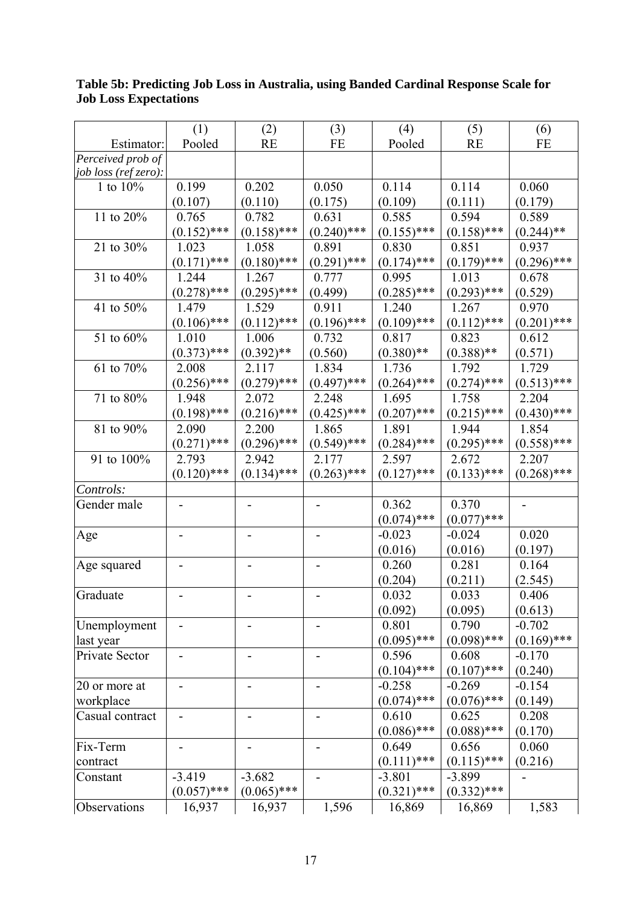|                                | (1)                      | (2)           | (3)           | (4)           | (5)           | (6)           |
|--------------------------------|--------------------------|---------------|---------------|---------------|---------------|---------------|
| Estimator:                     | Pooled                   | <b>RE</b>     | <b>FE</b>     | Pooled        | <b>RE</b>     | <b>FE</b>     |
| $\overline{Perceived}$ prob of |                          |               |               |               |               |               |
| job loss (ref zero):           |                          |               |               |               |               |               |
| 1 to $10\%$                    | 0.199                    | 0.202         | 0.050         | 0.114         | 0.114         | 0.060         |
|                                | (0.107)                  | (0.110)       | (0.175)       | (0.109)       | (0.111)       | (0.179)       |
| 11 to 20%                      | 0.765                    | 0.782         | 0.631         | 0.585         | 0.594         | 0.589         |
|                                | $(0.152)$ ***            | $(0.158)$ *** | $(0.240)$ *** | $(0.155)$ *** | $(0.158)$ *** | $(0.244)$ **  |
| 21 to 30%                      | 1.023                    | 1.058         | 0.891         | 0.830         | 0.851         | 0.937         |
|                                | $(0.171)$ ***            | $(0.180)$ *** | $(0.291)$ *** | $(0.174)$ *** | $(0.179)$ *** | $(0.296)$ *** |
| 31 to 40%                      | 1.244                    | 1.267         | 0.777         | 0.995         | 1.013         | 0.678         |
|                                | $(0.278)$ ***            | $(0.295)$ *** | (0.499)       | $(0.285)$ *** | $(0.293)$ *** | (0.529)       |
| 41 to 50%                      | 1.479                    | 1.529         | 0.911         | 1.240         | 1.267         | 0.970         |
|                                | $(0.106)$ ***            | $(0.112)$ *** | $(0.196)$ *** | $(0.109)$ *** | $(0.112)$ *** | $(0.201)$ *** |
| 51 to 60%                      | 1.010                    | 1.006         | 0.732         | 0.817         | 0.823         | 0.612         |
|                                | $(0.373)$ ***            | $(0.392)$ **  | (0.560)       | $(0.380)$ **  | $(0.388)$ **  | (0.571)       |
| 61 to 70%                      | 2.008                    | 2.117         | 1.834         | 1.736         | 1.792         | 1.729         |
|                                | $(0.256)$ ***            | $(0.279)$ *** | $(0.497)$ *** | $(0.264)$ *** | $(0.274)$ *** | $(0.513)$ *** |
| 71 to 80%                      | 1.948                    | 2.072         | 2.248         | 1.695         | 1.758         | 2.204         |
|                                | $(0.198)$ ***            | $(0.216)$ *** | $(0.425)$ *** | $(0.207)$ *** | $(0.215)$ *** | $(0.430)$ *** |
| 81 to 90%                      | 2.090                    | 2.200         | 1.865         | 1.891         | 1.944         | 1.854         |
|                                | $(0.271)$ ***            | $(0.296)$ *** | $(0.549)$ *** | $(0.284)$ *** | $(0.295)$ *** | $(0.558)$ *** |
| 91 to 100%                     | 2.793                    | 2.942         | 2.177         | 2.597         | 2.672         | 2.207         |
|                                | $(0.120)$ ***            | $(0.134)$ *** | $(0.263)$ *** | $(0.127)$ *** | $(0.133)$ *** | $(0.268)$ *** |
| Controls:                      |                          |               |               |               |               |               |
| Gender male                    |                          |               |               | 0.362         | 0.370         |               |
|                                |                          |               |               | $(0.074)$ *** | $(0.077)$ *** |               |
| Age                            |                          |               |               | $-0.023$      | $-0.024$      | 0.020         |
|                                |                          |               |               | (0.016)       | (0.016)       | (0.197)       |
| Age squared                    |                          |               |               | 0.260         | 0.281         | 0.164         |
|                                |                          |               |               | (0.204)       | (0.211)       | (2.545)       |
| Graduate                       |                          |               |               | 0.032         | 0.033         | 0.406         |
|                                |                          |               |               | (0.092)       | (0.095)       | (0.613)       |
| Unemployment                   |                          |               |               | 0.801         | 0.790         | $-0.702$      |
| last year                      |                          |               |               | $(0.095)$ *** | $(0.098)$ *** | $(0.169)$ *** |
| Private Sector                 |                          |               |               | 0.596         | 0.608         | $-0.170$      |
|                                |                          |               |               | $(0.104)$ *** | $(0.107)$ *** | (0.240)       |
| 20 or more at                  | $\overline{\phantom{a}}$ | -             |               | $-0.258$      | $-0.269$      | $-0.154$      |
| workplace                      |                          |               |               | $(0.074)$ *** | $(0.076)$ *** | (0.149)       |
| Casual contract                |                          |               |               | 0.610         | 0.625         | 0.208         |
|                                |                          |               |               | $(0.086)$ *** | $(0.088)$ *** | (0.170)       |
| Fix-Term                       |                          |               |               | 0.649         | 0.656         | 0.060         |
| contract                       |                          |               |               | $(0.111)$ *** | $(0.115)$ *** | (0.216)       |
| Constant                       | $-3.419$                 | $-3.682$      |               | $-3.801$      | $-3.899$      |               |
|                                | $(0.057)$ ***            | $(0.065)$ *** |               | $(0.321)$ *** | $(0.332)$ *** |               |
| Observations                   | 16,937                   | 16,937        | 1,596         | 16,869        | 16,869        | 1,583         |

# **Table 5b: Predicting Job Loss in Australia, using Banded Cardinal Response Scale for Job Loss Expectations**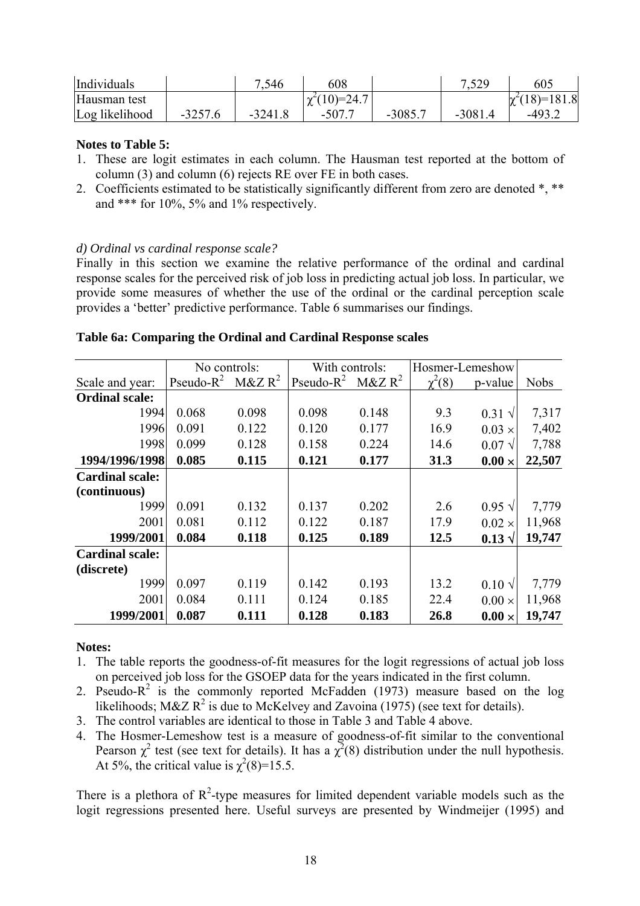| Individuals    |           | 7,546     | 608                 |           | 7.529     | 605                |
|----------------|-----------|-----------|---------------------|-----------|-----------|--------------------|
| Hausman test   |           |           | $\gamma^2(10)=24.7$ |           |           | $\chi^2(18)=181.8$ |
| Log likelihood | $-3257.6$ | $-3241.8$ | $-507.7$            | $-3085.7$ | $-3081.4$ | $-493.4$           |

## **Notes to Table 5:**

- 1. These are logit estimates in each column. The Hausman test reported at the bottom of column (3) and column (6) rejects RE over FE in both cases.
- 2. Coefficients estimated to be statistically significantly different from zero are denoted \*, \*\* and \*\*\* for 10%, 5% and 1% respectively.

## *d) Ordinal vs cardinal response scale?*

Finally in this section we examine the relative performance of the ordinal and cardinal response scales for the perceived risk of job loss in predicting actual job loss. In particular, we provide some measures of whether the use of the ordinal or the cardinal perception scale provides a 'better' predictive performance. Table 6 summarises our findings.

### **Table 6a: Comparing the Ordinal and Cardinal Response scales**

|                        | No controls:  |            | With controls: |            | Hosmer-Lemeshow |                 |             |
|------------------------|---------------|------------|----------------|------------|-----------------|-----------------|-------------|
| Scale and year:        | Pseudo- $R^2$ | $M\&Z R^2$ | Pseudo- $R^2$  | $M\&Z R^2$ | $\chi^2(8)$     | p-value         | <b>Nobs</b> |
| <b>Ordinal scale:</b>  |               |            |                |            |                 |                 |             |
| 1994                   | 0.068         | 0.098      | 0.098          | 0.148      | 9.3             | $0.31 \sqrt{ }$ | 7,317       |
| 1996                   | 0.091         | 0.122      | 0.120          | 0.177      | 16.9            | $0.03 \times$   | 7,402       |
| 1998                   | 0.099         | 0.128      | 0.158          | 0.224      | 14.6            | $0.07 \sqrt{ }$ | 7,788       |
| 1994/1996/1998         | 0.085         | 0.115      | 0.121          | 0.177      | 31.3            | $0.00 \times$   | 22,507      |
| <b>Cardinal scale:</b> |               |            |                |            |                 |                 |             |
| (continuous)           |               |            |                |            |                 |                 |             |
| 1999                   | 0.091         | 0.132      | 0.137          | 0.202      | 2.6             | $0.95 \sqrt{ }$ | 7,779       |
| 2001                   | 0.081         | 0.112      | 0.122          | 0.187      | 17.9            | $0.02 \times$   | 11,968      |
| 1999/2001              | 0.084         | 0.118      | 0.125          | 0.189      | 12.5            | $0.13 \sqrt{ }$ | 19,747      |
| <b>Cardinal scale:</b> |               |            |                |            |                 |                 |             |
| (discrete)             |               |            |                |            |                 |                 |             |
| 1999                   | 0.097         | 0.119      | 0.142          | 0.193      | 13.2            | $0.10 \sqrt{ }$ | 7,779       |
| 2001                   | 0.084         | 0.111      | 0.124          | 0.185      | 22.4            | $0.00 \times$   | 11,968      |
| 1999/2001              | 0.087         | 0.111      | 0.128          | 0.183      | 26.8            | $0.00 \times$   | 19,747      |

### **Notes:**

- 1. The table reports the goodness-of-fit measures for the logit regressions of actual job loss on perceived job loss for the GSOEP data for the years indicated in the first column.
- 2. Pseudo- $R^2$  is the commonly reported McFadden (1973) measure based on the log likelihoods; M&Z  $\mathbb{R}^2$  is due to McKelvey and Zavoina (1975) (see text for details).
- 3. The control variables are identical to those in Table 3 and Table 4 above.
- 4. The Hosmer-Lemeshow test is a measure of goodness-of-fit similar to the conventional Pearson  $\chi^2$  test (see text for details). It has a  $\chi^2(8)$  distribution under the null hypothesis. At 5%, the critical value is  $\chi^2(8)=15.5$ .

There is a plethora of  $R^2$ -type measures for limited dependent variable models such as the logit regressions presented here. Useful surveys are presented by Windmeijer (1995) and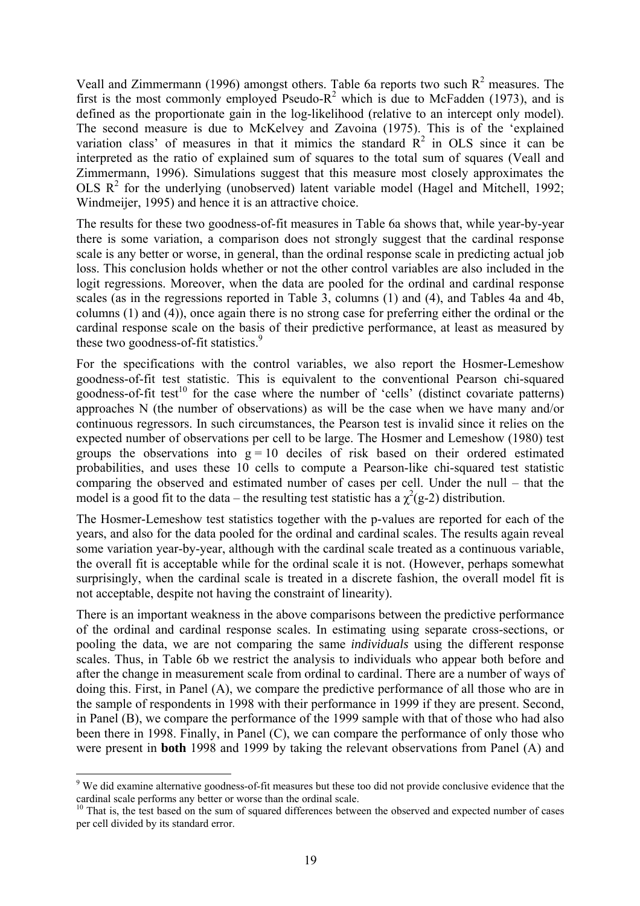Veall and Zimmermann (1996) amongst others. Table 6a reports two such  $R^2$  measures. The first is the most commonly employed Pseudo- $R^2$  which is due to McFadden (1973), and is defined as the proportionate gain in the log-likelihood (relative to an intercept only model). The second measure is due to McKelvey and Zavoina (1975). This is of the 'explained variation class' of measures in that it mimics the standard  $\mathbb{R}^2$  in OLS since it can be interpreted as the ratio of explained sum of squares to the total sum of squares (Veall and Zimmermann, 1996). Simulations suggest that this measure most closely approximates the OLS  $R^2$  for the underlying (unobserved) latent variable model (Hagel and Mitchell, 1992; Windmeijer, 1995) and hence it is an attractive choice.

The results for these two goodness-of-fit measures in Table 6a shows that, while year-by-year there is some variation, a comparison does not strongly suggest that the cardinal response scale is any better or worse, in general, than the ordinal response scale in predicting actual job loss. This conclusion holds whether or not the other control variables are also included in the logit regressions. Moreover, when the data are pooled for the ordinal and cardinal response scales (as in the regressions reported in Table 3, columns (1) and (4), and Tables 4a and 4b, columns (1) and (4)), once again there is no strong case for preferring either the ordinal or the cardinal response scale on the basis of their predictive performance, at least as measured by these two goodness-of-fit statistics.<sup>[9](#page-20-0)</sup>

For the specifications with the control variables, we also report the Hosmer-Lemeshow goodness-of-fit test statistic. This is equivalent to the conventional Pearson chi-squared goodness-of-fit test<sup>10</sup> for the case where the number of 'cells' (distinct covariate patterns) approaches N (the number of observations) as will be the case when we have many and/or continuous regressors. In such circumstances, the Pearson test is invalid since it relies on the expected number of observations per cell to be large. The Hosmer and Lemeshow (1980) test groups the observations into  $g = 10$  deciles of risk based on their ordered estimated probabilities, and uses these 10 cells to compute a Pearson-like chi-squared test statistic comparing the observed and estimated number of cases per cell. Under the null – that the model is a good fit to the data – the resulting test statistic has a  $\chi^2$ (g-2) distribution.

The Hosmer-Lemeshow test statistics together with the p-values are reported for each of the years, and also for the data pooled for the ordinal and cardinal scales. The results again reveal some variation year-by-year, although with the cardinal scale treated as a continuous variable, the overall fit is acceptable while for the ordinal scale it is not. (However, perhaps somewhat surprisingly, when the cardinal scale is treated in a discrete fashion, the overall model fit is not acceptable, despite not having the constraint of linearity).

There is an important weakness in the above comparisons between the predictive performance of the ordinal and cardinal response scales. In estimating using separate cross-sections, or pooling the data, we are not comparing the same *individuals* using the different response scales. Thus, in Table 6b we restrict the analysis to individuals who appear both before and after the change in measurement scale from ordinal to cardinal. There are a number of ways of doing this. First, in Panel (A), we compare the predictive performance of all those who are in the sample of respondents in 1998 with their performance in 1999 if they are present. Second, in Panel (B), we compare the performance of the 1999 sample with that of those who had also been there in 1998. Finally, in Panel (C), we can compare the performance of only those who were present in **both** 1998 and 1999 by taking the relevant observations from Panel (A) and

 $\overline{a}$ 

<span id="page-20-0"></span><sup>&</sup>lt;sup>9</sup> We did examine alternative goodness-of-fit measures but these too did not provide conclusive evidence that the cardinal scale performs any better or worse than the ordinal scale.<br><sup>10</sup> That is, the test based on the sum of squared differences between the observed and expected number of cases

<span id="page-20-1"></span>per cell divided by its standard error.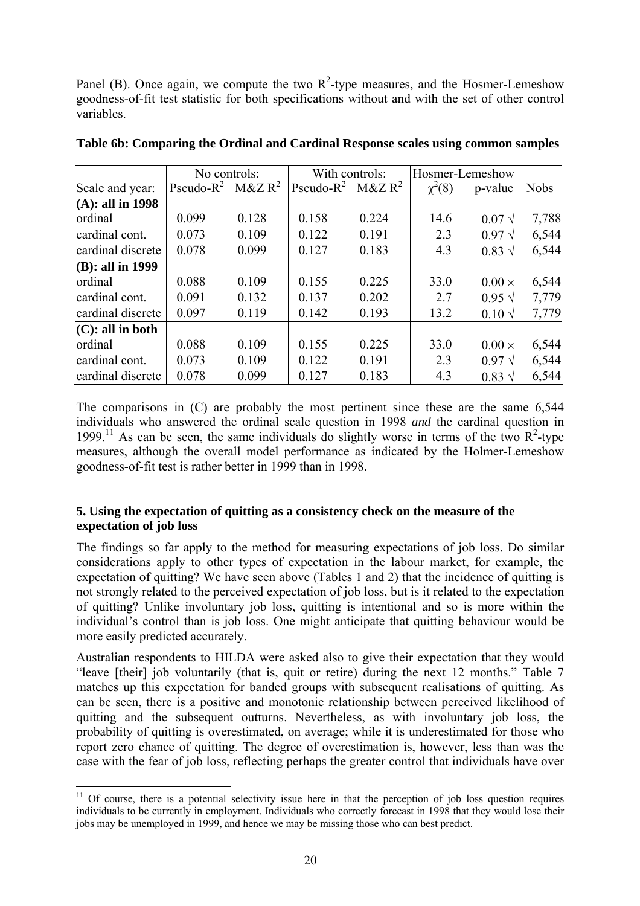Panel (B). Once again, we compute the two  $R^2$ -type measures, and the Hosmer-Lemeshow goodness-of-fit test statistic for both specifications without and with the set of other control variables.

|                     | No controls:  |            | With controls: |            | Hosmer-Lemeshow |                 |             |
|---------------------|---------------|------------|----------------|------------|-----------------|-----------------|-------------|
| Scale and year:     | Pseudo- $R^2$ | $M\&Z R^2$ | Pseudo- $R^2$  | $M\&Z R^2$ | $\chi^2(8)$     | p-value         | <b>Nobs</b> |
| $(A):$ all in 1998  |               |            |                |            |                 |                 |             |
| ordinal             | 0.099         | 0.128      | 0.158          | 0.224      | 14.6            | $0.07 \sqrt{ }$ | 7,788       |
| cardinal cont.      | 0.073         | 0.109      | 0.122          | 0.191      | 2.3             | $0.97\sqrt{ }$  | 6,544       |
| cardinal discrete   | 0.078         | 0.099      | 0.127          | 0.183      | 4.3             | $0.83 \sqrt{ }$ | 6,544       |
| (B): all in 1999    |               |            |                |            |                 |                 |             |
| ordinal             | 0.088         | 0.109      | 0.155          | 0.225      | 33.0            | $0.00 \times$   | 6,544       |
| cardinal cont.      | 0.091         | 0.132      | 0.137          | 0.202      | 2.7             | $0.95 \sqrt{ }$ | 7,779       |
| cardinal discrete   | 0.097         | 0.119      | 0.142          | 0.193      | 13.2            | $0.10 \sqrt{ }$ | 7,779       |
| $(C)$ : all in both |               |            |                |            |                 |                 |             |
| ordinal             | 0.088         | 0.109      | 0.155          | 0.225      | 33.0            | $0.00 \times$   | 6,544       |
| cardinal cont.      | 0.073         | 0.109      | 0.122          | 0.191      | 2.3             | $0.97\sqrt{ }$  | 6,544       |
| cardinal discrete   | 0.078         | 0.099      | 0.127          | 0.183      | 4.3             | $0.83 \sqrt{ }$ | 6,544       |

**Table 6b: Comparing the Ordinal and Cardinal Response scales using common samples** 

The comparisons in (C) are probably the most pertinent since these are the same 6,544 individuals who answered the ordinal scale question in 1998 *and* the cardinal question in 1999.<sup>11</sup> As can be seen, the same individuals do slightly worse in terms of the two  $R^2$ -type measures, although the overall model performance as indicated by the Holmer-Lemeshow goodness-of-fit test is rather better in 1999 than in 1998.

## **5. Using the expectation of quitting as a consistency check on the measure of the expectation of job loss**

The findings so far apply to the method for measuring expectations of job loss. Do similar considerations apply to other types of expectation in the labour market, for example, the expectation of quitting? We have seen above (Tables 1 and 2) that the incidence of quitting is not strongly related to the perceived expectation of job loss, but is it related to the expectation of quitting? Unlike involuntary job loss, quitting is intentional and so is more within the individual's control than is job loss. One might anticipate that quitting behaviour would be more easily predicted accurately.

Australian respondents to HILDA were asked also to give their expectation that they would "leave [their] job voluntarily (that is, quit or retire) during the next 12 months." Table 7 matches up this expectation for banded groups with subsequent realisations of quitting. As can be seen, there is a positive and monotonic relationship between perceived likelihood of quitting and the subsequent outturns. Nevertheless, as with involuntary job loss, the probability of quitting is overestimated, on average; while it is underestimated for those who report zero chance of quitting. The degree of overestimation is, however, less than was the case with the fear of job loss, reflecting perhaps the greater control that individuals have over

 $\overline{a}$ 

<span id="page-21-0"></span><sup>&</sup>lt;sup>11</sup> Of course, there is a potential selectivity issue here in that the perception of job loss question requires individuals to be currently in employment. Individuals who correctly forecast in 1998 that they would lose their jobs may be unemployed in 1999, and hence we may be missing those who can best predict.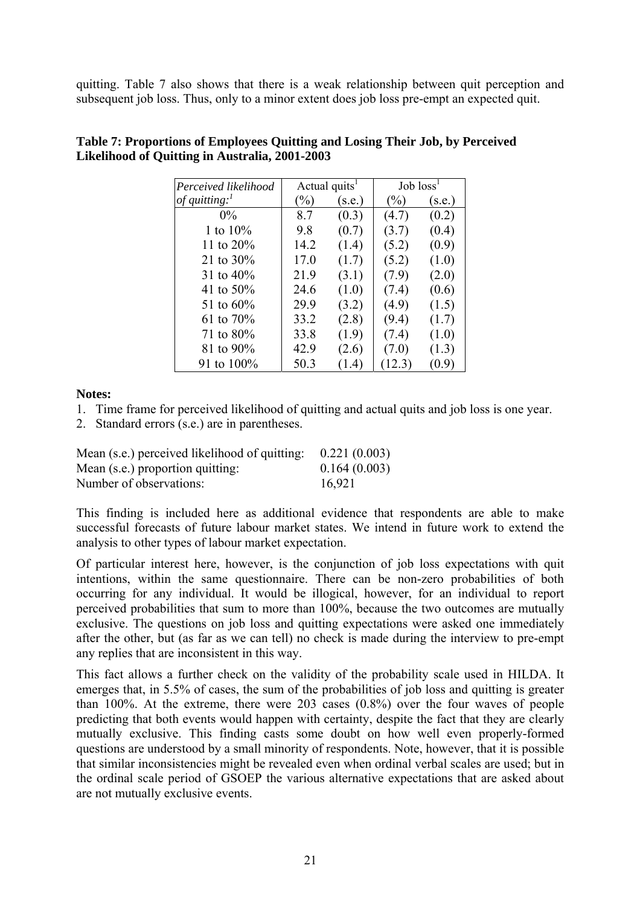quitting. Table 7 also shows that there is a weak relationship between quit perception and subsequent job loss. Thus, only to a minor extent does job loss pre-empt an expected quit.

| Perceived likelihood       | Actual quits <sup>1</sup> |        | Job loss <sup>1</sup> |        |
|----------------------------|---------------------------|--------|-----------------------|--------|
| of quitting: $\frac{1}{2}$ | $(\%)$                    | (s.e.) | (%)                   | (s.e.) |
| $0\%$                      | 8.7                       | (0.3)  | (4.7)                 | (0.2)  |
| 1 to $10\%$                | 9.8                       | (0.7)  | (3.7)                 | (0.4)  |
| 11 to $20\%$               | 14.2                      | (1.4)  | (5.2)                 | (0.9)  |
| 21 to $30\%$               | 17.0                      | (1.7)  | (5.2)                 | (1.0)  |
| 31 to $40\%$               | 21.9                      | (3.1)  | (7.9)                 | (2.0)  |
| 41 to $50\%$               | 24.6                      | (1.0)  | (7.4)                 | (0.6)  |
| 51 to 60%                  | 29.9                      | (3.2)  | (4.9)                 | (1.5)  |
| 61 to 70%                  | 33.2                      | (2.8)  | (9.4)                 | (1.7)  |
| 71 to $80\%$               | 33.8                      | (1.9)  | (7.4)                 | (1.0)  |
| 81 to 90%                  | 42.9                      | (2.6)  | (7.0)                 | (1.3)  |
| 91 to 100%                 | 50.3                      | (1.4)  | (12.3)                | (0.9)  |

## **Table 7: Proportions of Employees Quitting and Losing Their Job, by Perceived Likelihood of Quitting in Australia, 2001-2003**

**Notes:** 

- 1. Time frame for perceived likelihood of quitting and actual quits and job loss is one year.
- 2. Standard errors (s.e.) are in parentheses.

| Mean (s.e.) perceived likelihood of quitting: | 0.221(0.003) |
|-----------------------------------------------|--------------|
| Mean (s.e.) proportion quitting:              | 0.164(0.003) |
| Number of observations:                       | 16,921       |

This finding is included here as additional evidence that respondents are able to make successful forecasts of future labour market states. We intend in future work to extend the analysis to other types of labour market expectation.

Of particular interest here, however, is the conjunction of job loss expectations with quit intentions, within the same questionnaire. There can be non-zero probabilities of both occurring for any individual. It would be illogical, however, for an individual to report perceived probabilities that sum to more than 100%, because the two outcomes are mutually exclusive. The questions on job loss and quitting expectations were asked one immediately after the other, but (as far as we can tell) no check is made during the interview to pre-empt any replies that are inconsistent in this way.

This fact allows a further check on the validity of the probability scale used in HILDA. It emerges that, in 5.5% of cases, the sum of the probabilities of job loss and quitting is greater than 100%. At the extreme, there were 203 cases (0.8%) over the four waves of people predicting that both events would happen with certainty, despite the fact that they are clearly mutually exclusive. This finding casts some doubt on how well even properly-formed questions are understood by a small minority of respondents. Note, however, that it is possible that similar inconsistencies might be revealed even when ordinal verbal scales are used; but in the ordinal scale period of GSOEP the various alternative expectations that are asked about are not mutually exclusive events.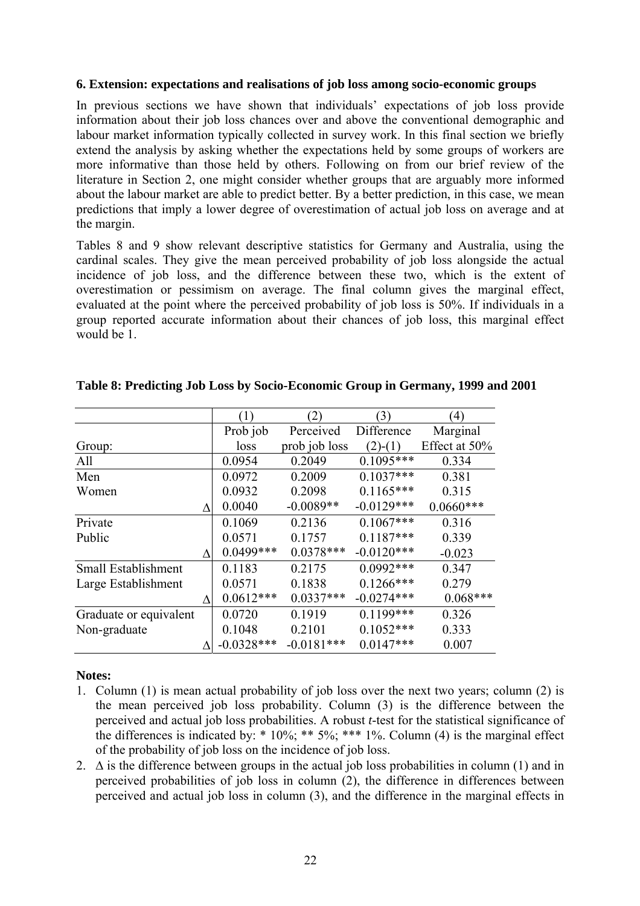### **6. Extension: expectations and realisations of job loss among socio-economic groups**

In previous sections we have shown that individuals' expectations of job loss provide information about their job loss chances over and above the conventional demographic and labour market information typically collected in survey work. In this final section we briefly extend the analysis by asking whether the expectations held by some groups of workers are more informative than those held by others. Following on from our brief review of the literature in Section 2, one might consider whether groups that are arguably more informed about the labour market are able to predict better. By a better prediction, in this case, we mean predictions that imply a lower degree of overestimation of actual job loss on average and at the margin.

Tables 8 and 9 show relevant descriptive statistics for Germany and Australia, using the cardinal scales. They give the mean perceived probability of job loss alongside the actual incidence of job loss, and the difference between these two, which is the extent of overestimation or pessimism on average. The final column gives the marginal effect, evaluated at the point where the perceived probability of job loss is 50%. If individuals in a group reported accurate information about their chances of job loss, this marginal effect would be 1.

|                        |   | (1)          | $\mathbf{2})$ | (3)          | $\left(4\right)$ |
|------------------------|---|--------------|---------------|--------------|------------------|
|                        |   | Prob job     | Perceived     | Difference   | Marginal         |
| Group:                 |   | loss         | prob job loss | $(2)-(1)$    | Effect at 50%    |
| All                    |   | 0.0954       | 0.2049        | $0.1095***$  | 0.334            |
| Men                    |   | 0.0972       | 0.2009        | $0.1037***$  | 0.381            |
| Women                  |   | 0.0932       | 0.2098        | $0.1165***$  | 0.315            |
|                        | Λ | 0.0040       | $-0.0089**$   | $-0.0129***$ | $0.0660***$      |
| Private                |   | 0.1069       | 0.2136        | $0.1067***$  | 0.316            |
| Public                 |   | 0.0571       | 0.1757        | $0.1187***$  | 0.339            |
|                        | Л | $0.0499***$  | $0.0378***$   | $-0.0120***$ | $-0.023$         |
| Small Establishment    |   | 0.1183       | 0.2175        | $0.0992***$  | 0.347            |
| Large Establishment    |   | 0.0571       | 0.1838        | $0.1266$ *** | 0.279            |
|                        |   | $0.0612***$  | $0.0337***$   | $-0.0274***$ | $0.068***$       |
| Graduate or equivalent |   | 0.0720       | 0.1919        | $0.1199***$  | 0.326            |
| Non-graduate           |   | 0.1048       | 0.2101        | $0.1052***$  | 0.333            |
|                        |   | $-0.0328***$ | $-0.0181***$  | $0.0147***$  | 0.007            |

### **Table 8: Predicting Job Loss by Socio-Economic Group in Germany, 1999 and 2001**

### **Notes:**

- 1. Column (1) is mean actual probability of job loss over the next two years; column (2) is the mean perceived job loss probability. Column (3) is the difference between the perceived and actual job loss probabilities. A robust *t*-test for the statistical significance of the differences is indicated by:  $* 10\%$ ;  $** 5\%$ ;  $*** 1\%$ . Column (4) is the marginal effect of the probability of job loss on the incidence of job loss.
- 2.  $\Delta$  is the difference between groups in the actual job loss probabilities in column (1) and in perceived probabilities of job loss in column (2), the difference in differences between perceived and actual job loss in column (3), and the difference in the marginal effects in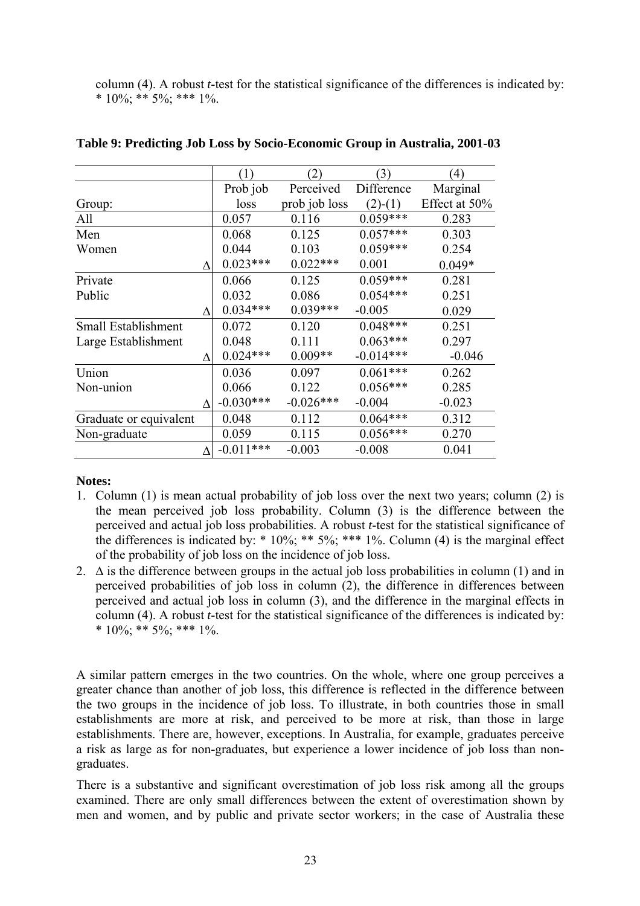column (4). A robust *t*-test for the statistical significance of the differences is indicated by: \* 10%; \*\* 5%; \*\*\* 1%.

|                        | (1)         | (2)           | (3)         | $\left(4\right)$ |
|------------------------|-------------|---------------|-------------|------------------|
|                        | Prob job    | Perceived     | Difference  | Marginal         |
| Group:                 | loss        | prob job loss | $(2)-(1)$   | Effect at 50%    |
| All                    | 0.057       | 0.116         | $0.059***$  | 0.283            |
| Men                    | 0.068       | 0.125         | $0.057***$  | 0.303            |
| Women                  | 0.044       | 0.103         | $0.059***$  | 0.254            |
| Л                      | $0.023***$  | $0.022***$    | 0.001       | $0.049*$         |
| Private                | 0.066       | 0.125         | $0.059***$  | 0.281            |
| Public                 | 0.032       | 0.086         | $0.054***$  | 0.251            |
|                        | $0.034***$  | $0.039***$    | $-0.005$    | 0.029            |
| Small Establishment    | 0.072       | 0.120         | $0.048***$  | 0.251            |
| Large Establishment    | 0.048       | 0.111         | $0.063***$  | 0.297            |
|                        | $0.024***$  | $0.009**$     | $-0.014***$ | $-0.046$         |
| Union                  | 0.036       | 0.097         | $0.061***$  | 0.262            |
| Non-union              | 0.066       | 0.122         | $0.056***$  | 0.285            |
| Л                      | $-0.030***$ | $-0.026***$   | $-0.004$    | $-0.023$         |
| Graduate or equivalent | 0.048       | 0.112         | $0.064***$  | 0.312            |
| Non-graduate           | 0.059       | 0.115         | $0.056***$  | 0.270            |
|                        | $-0.011***$ | $-0.003$      | $-0.008$    | 0.041            |

## **Table 9: Predicting Job Loss by Socio-Economic Group in Australia, 2001-03**

### **Notes:**

- 1. Column (1) is mean actual probability of job loss over the next two years; column (2) is the mean perceived job loss probability. Column (3) is the difference between the perceived and actual job loss probabilities. A robust *t*-test for the statistical significance of the differences is indicated by:  $* 10\%$ ;  $** 5\%$ ;  $*** 1\%$ . Column (4) is the marginal effect of the probability of job loss on the incidence of job loss.
- 2.  $\Delta$  is the difference between groups in the actual job loss probabilities in column (1) and in perceived probabilities of job loss in column (2), the difference in differences between perceived and actual job loss in column (3), and the difference in the marginal effects in column (4). A robust *t*-test for the statistical significance of the differences is indicated by:  $*$  10%; \*\* 5%; \*\*\* 1%.

A similar pattern emerges in the two countries. On the whole, where one group perceives a greater chance than another of job loss, this difference is reflected in the difference between the two groups in the incidence of job loss. To illustrate, in both countries those in small establishments are more at risk, and perceived to be more at risk, than those in large establishments. There are, however, exceptions. In Australia, for example, graduates perceive a risk as large as for non-graduates, but experience a lower incidence of job loss than nongraduates.

There is a substantive and significant overestimation of job loss risk among all the groups examined. There are only small differences between the extent of overestimation shown by men and women, and by public and private sector workers; in the case of Australia these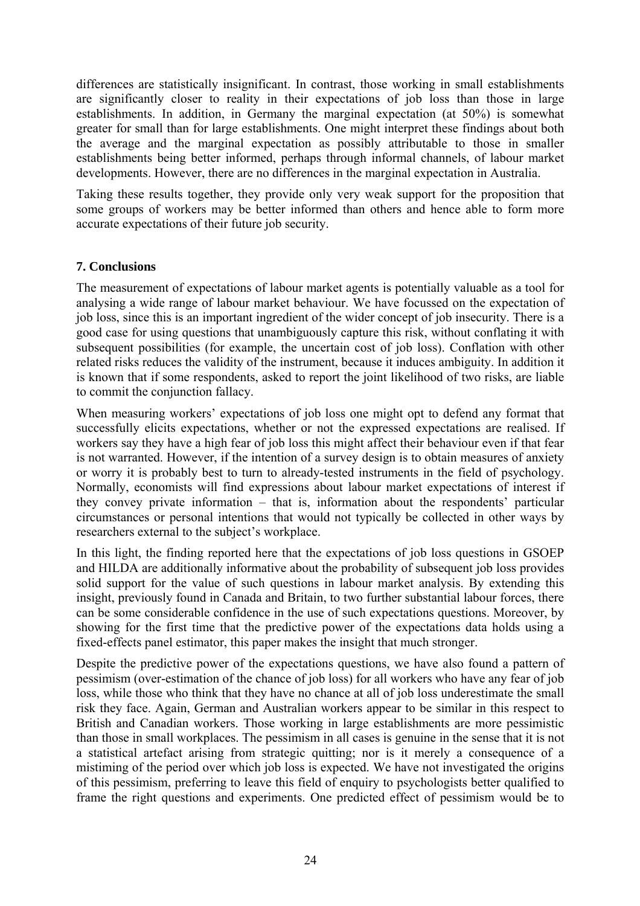differences are statistically insignificant. In contrast, those working in small establishments are significantly closer to reality in their expectations of job loss than those in large establishments. In addition, in Germany the marginal expectation (at 50%) is somewhat greater for small than for large establishments. One might interpret these findings about both the average and the marginal expectation as possibly attributable to those in smaller establishments being better informed, perhaps through informal channels, of labour market developments. However, there are no differences in the marginal expectation in Australia.

Taking these results together, they provide only very weak support for the proposition that some groups of workers may be better informed than others and hence able to form more accurate expectations of their future job security.

## **7. Conclusions**

The measurement of expectations of labour market agents is potentially valuable as a tool for analysing a wide range of labour market behaviour. We have focussed on the expectation of job loss, since this is an important ingredient of the wider concept of job insecurity. There is a good case for using questions that unambiguously capture this risk, without conflating it with subsequent possibilities (for example, the uncertain cost of job loss). Conflation with other related risks reduces the validity of the instrument, because it induces ambiguity. In addition it is known that if some respondents, asked to report the joint likelihood of two risks, are liable to commit the conjunction fallacy.

When measuring workers' expectations of job loss one might opt to defend any format that successfully elicits expectations, whether or not the expressed expectations are realised. If workers say they have a high fear of job loss this might affect their behaviour even if that fear is not warranted. However, if the intention of a survey design is to obtain measures of anxiety or worry it is probably best to turn to already-tested instruments in the field of psychology. Normally, economists will find expressions about labour market expectations of interest if they convey private information – that is, information about the respondents' particular circumstances or personal intentions that would not typically be collected in other ways by researchers external to the subject's workplace.

In this light, the finding reported here that the expectations of job loss questions in GSOEP and HILDA are additionally informative about the probability of subsequent job loss provides solid support for the value of such questions in labour market analysis. By extending this insight, previously found in Canada and Britain, to two further substantial labour forces, there can be some considerable confidence in the use of such expectations questions. Moreover, by showing for the first time that the predictive power of the expectations data holds using a fixed-effects panel estimator, this paper makes the insight that much stronger.

Despite the predictive power of the expectations questions, we have also found a pattern of pessimism (over-estimation of the chance of job loss) for all workers who have any fear of job loss, while those who think that they have no chance at all of job loss underestimate the small risk they face. Again, German and Australian workers appear to be similar in this respect to British and Canadian workers. Those working in large establishments are more pessimistic than those in small workplaces. The pessimism in all cases is genuine in the sense that it is not a statistical artefact arising from strategic quitting; nor is it merely a consequence of a mistiming of the period over which job loss is expected. We have not investigated the origins of this pessimism, preferring to leave this field of enquiry to psychologists better qualified to frame the right questions and experiments. One predicted effect of pessimism would be to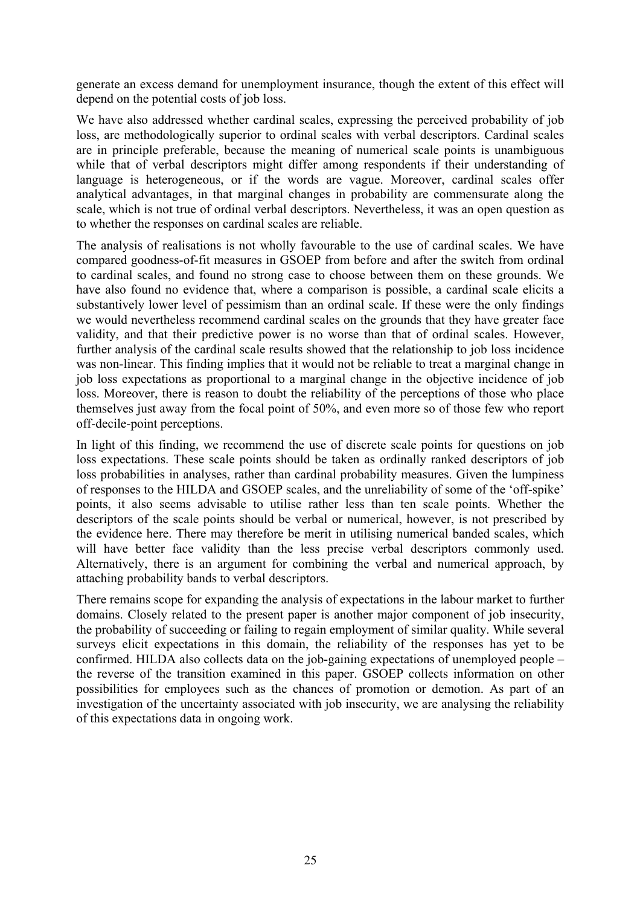generate an excess demand for unemployment insurance, though the extent of this effect will depend on the potential costs of job loss.

We have also addressed whether cardinal scales, expressing the perceived probability of job loss, are methodologically superior to ordinal scales with verbal descriptors. Cardinal scales are in principle preferable, because the meaning of numerical scale points is unambiguous while that of verbal descriptors might differ among respondents if their understanding of language is heterogeneous, or if the words are vague. Moreover, cardinal scales offer analytical advantages, in that marginal changes in probability are commensurate along the scale, which is not true of ordinal verbal descriptors. Nevertheless, it was an open question as to whether the responses on cardinal scales are reliable.

The analysis of realisations is not wholly favourable to the use of cardinal scales. We have compared goodness-of-fit measures in GSOEP from before and after the switch from ordinal to cardinal scales, and found no strong case to choose between them on these grounds. We have also found no evidence that, where a comparison is possible, a cardinal scale elicits a substantively lower level of pessimism than an ordinal scale. If these were the only findings we would nevertheless recommend cardinal scales on the grounds that they have greater face validity, and that their predictive power is no worse than that of ordinal scales. However, further analysis of the cardinal scale results showed that the relationship to job loss incidence was non-linear. This finding implies that it would not be reliable to treat a marginal change in job loss expectations as proportional to a marginal change in the objective incidence of job loss. Moreover, there is reason to doubt the reliability of the perceptions of those who place themselves just away from the focal point of 50%, and even more so of those few who report off-decile-point perceptions.

In light of this finding, we recommend the use of discrete scale points for questions on job loss expectations. These scale points should be taken as ordinally ranked descriptors of job loss probabilities in analyses, rather than cardinal probability measures. Given the lumpiness of responses to the HILDA and GSOEP scales, and the unreliability of some of the 'off-spike' points, it also seems advisable to utilise rather less than ten scale points. Whether the descriptors of the scale points should be verbal or numerical, however, is not prescribed by the evidence here. There may therefore be merit in utilising numerical banded scales, which will have better face validity than the less precise verbal descriptors commonly used. Alternatively, there is an argument for combining the verbal and numerical approach, by attaching probability bands to verbal descriptors.

There remains scope for expanding the analysis of expectations in the labour market to further domains. Closely related to the present paper is another major component of job insecurity, the probability of succeeding or failing to regain employment of similar quality. While several surveys elicit expectations in this domain, the reliability of the responses has yet to be confirmed. HILDA also collects data on the job-gaining expectations of unemployed people – the reverse of the transition examined in this paper. GSOEP collects information on other possibilities for employees such as the chances of promotion or demotion. As part of an investigation of the uncertainty associated with job insecurity, we are analysing the reliability of this expectations data in ongoing work.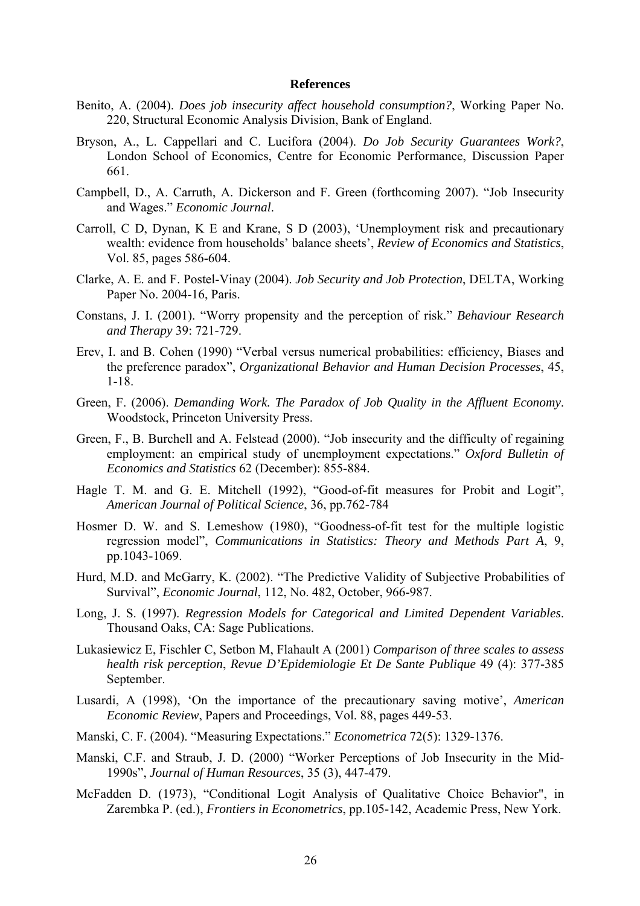#### **References**

- Benito, A. (2004). *Does job insecurity affect household consumption?*, Working Paper No. 220, Structural Economic Analysis Division, Bank of England.
- Bryson, A., L. Cappellari and C. Lucifora (2004). *Do Job Security Guarantees Work?*, London School of Economics, Centre for Economic Performance, Discussion Paper 661.
- Campbell, D., A. Carruth, A. Dickerson and F. Green (forthcoming 2007). "Job Insecurity and Wages." *Economic Journal*.
- Carroll, C D, Dynan, K E and Krane, S D (2003), 'Unemployment risk and precautionary wealth: evidence from households' balance sheets', *Review of Economics and Statistics*, Vol. 85, pages 586-604.
- Clarke, A. E. and F. Postel-Vinay (2004). *Job Security and Job Protection*, DELTA, Working Paper No. 2004-16, Paris.
- Constans, J. I. (2001). "Worry propensity and the perception of risk." *Behaviour Research and Therapy* 39: 721-729.
- Erev, I. and B. Cohen (1990) "Verbal versus numerical probabilities: efficiency, Biases and the preference paradox", *Organizational Behavior and Human Decision Processes*, 45, 1-18.
- Green, F. (2006). *Demanding Work. The Paradox of Job Quality in the Affluent Economy*. Woodstock, Princeton University Press.
- Green, F., B. Burchell and A. Felstead (2000). "Job insecurity and the difficulty of regaining employment: an empirical study of unemployment expectations." *Oxford Bulletin of Economics and Statistics* 62 (December): 855-884.
- Hagle T. M. and G. E. Mitchell (1992), "Good-of-fit measures for Probit and Logit", *American Journal of Political Science*, 36, pp.762-784
- Hosmer D. W. and S. Lemeshow (1980), "Goodness-of-fit test for the multiple logistic regression model", *Communications in Statistics: Theory and Methods Part A*, 9, pp.1043-1069.
- Hurd, M.D. and McGarry, K. (2002). "The Predictive Validity of Subjective Probabilities of Survival", *Economic Journal*, 112, No. 482, October, 966-987.
- Long, J. S. (1997). *Regression Models for Categorical and Limited Dependent Variables*. Thousand Oaks, CA: Sage Publications.
- Lukasiewicz E, Fischler C, Setbon M, Flahault A (2001) *Comparison of three scales to assess health risk perception*, *Revue D'Epidemiologie Et De Sante Publique* 49 (4): 377-385 September.
- Lusardi, A (1998), 'On the importance of the precautionary saving motive', *American Economic Review*, Papers and Proceedings, Vol. 88, pages 449-53.
- Manski, C. F. (2004). "Measuring Expectations." *Econometrica* 72(5): 1329-1376.
- Manski, C.F. and Straub, J. D. (2000) "Worker Perceptions of Job Insecurity in the Mid-1990s", *Journal of Human Resources*, 35 (3), 447-479.
- McFadden D. (1973), "Conditional Logit Analysis of Qualitative Choice Behavior", in Zarembka P. (ed.), *Frontiers in Econometrics*, pp.105-142, Academic Press, New York.